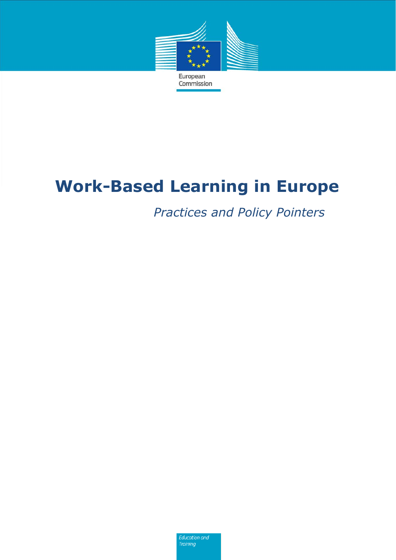

# **Work-Based Learning in Europe**

*Practices and Policy Pointers* 

**Education and Training**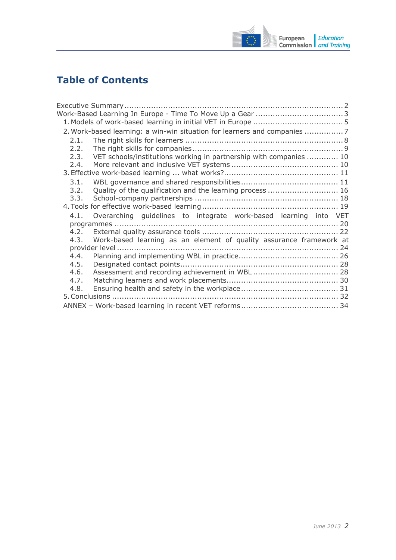

# **Table of Contents**

| 2. Work-based learning: a win-win situation for learners and companies 7    |  |  |
|-----------------------------------------------------------------------------|--|--|
| 2.1.                                                                        |  |  |
| 2.2.                                                                        |  |  |
| VET schools/institutions working in partnership with companies  10<br>2.3.  |  |  |
| 2.4.                                                                        |  |  |
|                                                                             |  |  |
| 3.1.                                                                        |  |  |
| Quality of the qualification and the learning process  16<br>3.2.           |  |  |
| 3.3.                                                                        |  |  |
|                                                                             |  |  |
| Overarching guidelines to integrate work-based learning into VET<br>4.1.    |  |  |
|                                                                             |  |  |
| 4.2.                                                                        |  |  |
| Work-based learning as an element of quality assurance framework at<br>4.3. |  |  |
|                                                                             |  |  |
| 4.4.                                                                        |  |  |
| 4.5.                                                                        |  |  |
| 4.6.                                                                        |  |  |
| 4.7.                                                                        |  |  |
| 4.8.                                                                        |  |  |
|                                                                             |  |  |
|                                                                             |  |  |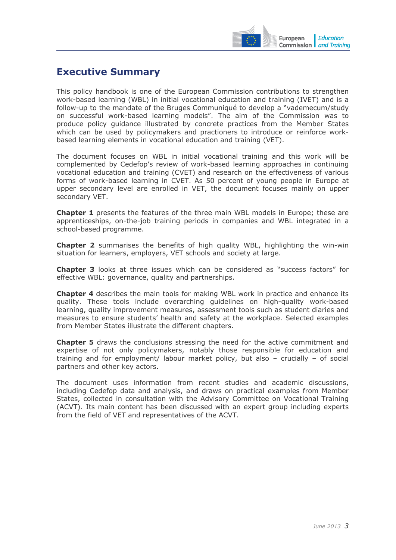

# <span id="page-2-0"></span>**Executive Summary**

This policy handbook is one of the European Commission contributions to strengthen work-based learning (WBL) in initial vocational education and training (IVET) and is a follow-up to the mandate of the Bruges Communiqué to develop a "vademecum/study on successful work-based learning models". The aim of the Commission was to produce policy guidance illustrated by concrete practices from the Member States which can be used by policymakers and practioners to introduce or reinforce workbased learning elements in vocational education and training (VET).

The document focuses on WBL in initial vocational training and this work will be complemented by Cedefop's review of work-based learning approaches in continuing vocational education and training (CVET) and research on the effectiveness of various forms of work-based learning in CVET. As 50 percent of young people in Europe at upper secondary level are enrolled in VET, the document focuses mainly on upper secondary VET.

**Chapter 1** presents the features of the three main WBL models in Europe; these are apprenticeships, on-the-job training periods in companies and WBL integrated in a school-based programme.

**Chapter 2** summarises the benefits of high quality WBL, highlighting the win-win situation for learners, employers, VET schools and society at large.

**Chapter 3** looks at three issues which can be considered as "success factors" for effective WBL: governance, quality and partnerships.

**Chapter 4** describes the main tools for making WBL work in practice and enhance its quality. These tools include overarching guidelines on high-quality work-based learning, quality improvement measures, assessment tools such as student diaries and measures to ensure students' health and safety at the workplace. Selected examples from Member States illustrate the different chapters.

**Chapter 5** draws the conclusions stressing the need for the active commitment and expertise of not only policymakers, notably those responsible for education and training and for employment/ labour market policy, but also – crucially – of social partners and other key actors.

The document uses information from recent studies and academic discussions, including Cedefop data and analysis, and draws on practical examples from Member States, collected in consultation with the Advisory Committee on Vocational Training (ACVT). Its main content has been discussed with an expert group including experts from the field of VET and representatives of the ACVT.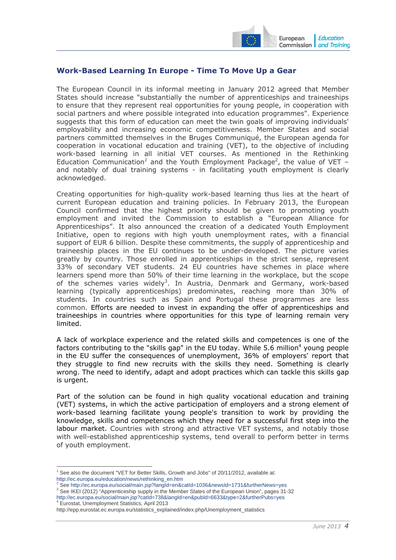

# <span id="page-3-0"></span>**Work-Based Learning In Europe - Time To Move Up a Gear**

The European Council in its informal meeting in January 2012 agreed that Member States should increase "substantially the number of apprenticeships and traineeships to ensure that they represent real opportunities for young people, in cooperation with social partners and where possible integrated into education programmes". Experience suggests that this form of education can meet the twin goals of improving individuals' employability and increasing economic competitiveness. Member States and social partners committed themselves in the Bruges Communiqué, the European agenda for cooperation in vocational education and training (VET), to the objective of including work-based learning in all initial VET courses. As mentioned in the Rethinking Education Communication<sup>1</sup> and the Youth Employment Package<sup>2</sup>, the value of VET – and notably of dual training systems - in facilitating youth employment is clearly acknowledged.

Creating opportunities for high-quality work-based learning thus lies at the heart of current European education and training policies. In February 2013, the European Council confirmed that the highest priority should be given to promoting youth employment and invited the Commission to establish a "European Alliance for Apprenticeships". It also announced the creation of a dedicated Youth Employment Initiative, open to regions with high youth unemployment rates, with a financial support of EUR 6 billion. Despite these commitments, the supply of apprenticeship and traineeship places in the EU continues to be under-developed. The picture varies greatly by country. Those enrolled in apprenticeships in the strict sense, represent 33% of secondary VET students. 24 EU countries have schemes in place where learners spend more than 50% of their time learning in the workplace, but the scope of the schemes varies widely<sup>3</sup>. In Austria, Denmark and Germany, work-based learning (typically apprenticeships) predominates, reaching more than 30% of students. In countries such as Spain and Portugal these programmes are less common. Efforts are needed to invest in expanding the offer of apprenticeships and traineeships in countries where opportunities for this type of learning remain very limited.

A lack of workplace experience and the related skills and competences is one of the factors contributing to the "skills gap" in the EU today. While 5.6 million<sup>4</sup> young people in the EU suffer the consequences of unemployment, 36% of employers' report that they struggle to find new recruits with the skills they need. Something is clearly wrong. The need to identify, adapt and adopt practices which can tackle this skills gap is urgent.

Part of the solution can be found in high quality vocational education and training (VET) systems, in which the active participation of employers and a strong element of work-based learning facilitate young people's transition to work by providing the knowledge, skills and competences which they need for a successful first step into the labour market. Countries with strong and attractive VET systems, and notably those with well-established apprenticeship systems, tend overall to perform better in terms of youth employment.

-

 $1$  See also the document "VET for Better Skills, Growth and Jobs" of 20/11/2012, available at: [http://ec.europa.eu/education/news/rethinking\\_en.htm](http://ec.europa.eu/education/news/rethinking_en.htm)<br><sup>2</sup> See http://ee.europe.eu/eesial/main.jan?langld.en?

<sup>&</sup>lt;sup>∠</sup> Se[e http://ec.europa.eu/social/main.jsp?langId=en&catId=1036&newsId=1731&furtherNews=yes](http://ec.europa.eu/social/main.jsp?langId=en&catId=1036&newsId=1731&furtherNews=yes)<br><sup>3</sup> See IKEI (2012) "Apprenticeship supply in the Member States of the European Union", pages 31-32 http://ec.europa.eu/social/main.jsp?catId=738&langId=en&pubId=6633&type=2&furtherPubs=ves

Eurostat, Unemployment Statistics, April 2013

http://epp.eurostat.ec.europa.eu/statistics\_explained/index.php/Unemployment\_statistics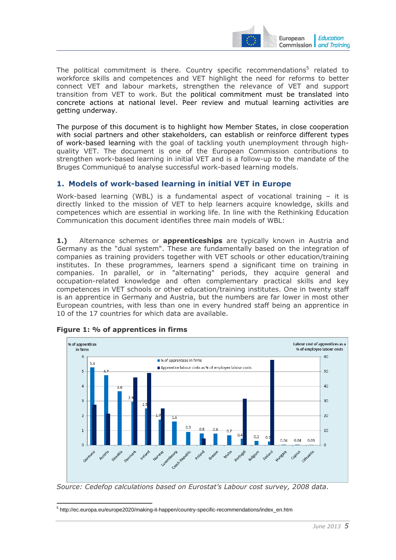

The political commitment is there. Country specific recommendations<sup>5</sup> related to workforce skills and competences and VET highlight the need for reforms to better connect VET and labour markets, strengthen the relevance of VET and support transition from VET to work. But the political commitment must be translated into concrete actions at national level. Peer review and mutual learning activities are getting underway.

The purpose of this document is to highlight how Member States, in close cooperation with social partners and other stakeholders, can establish or reinforce different types of work-based learning with the goal of tackling youth unemployment through highquality VET. The document is one of the European Commission contributions to strengthen work-based learning in initial VET and is a follow-up to the mandate of the Bruges Communiqué to analyse successful work-based learning models.

# <span id="page-4-0"></span>**1. Models of work-based learning in initial VET in Europe**

Work-based learning (WBL) is a fundamental aspect of vocational training – it is directly linked to the mission of VET to help learners acquire knowledge, skills and competences which are essential in working life. In line with the Rethinking Education Communication this document identifies three main models of WBL:

**1.)** Alternance schemes or **apprenticeships** are typically known in Austria and Germany as the "dual system". These are fundamentally based on the integration of companies as training providers together with VET schools or other education/training institutes. In these programmes, learners spend a significant time on training in companies. In parallel, or in "alternating" periods, they acquire general and occupation-related knowledge and often complementary practical skills and key competences in VET schools or other education/training institutes. One in twenty staff is an apprentice in Germany and Austria, but the numbers are far lower in most other European countries, with less than one in every hundred staff being an apprentice in 10 of the 17 countries for which data are available.



#### **Figure 1: % of apprentices in firms**

-

*S[ource: Cedefop calculations based on Eurostat's Labour cost survey, 2008 data](http://www.cedefop.europa.eu/EN/Images-ContentManagement/2011-03-statistics.png)*.

5 http://ec.europa.eu/europe2020/making-it-happen/country-specific-recommendations/index\_en.htm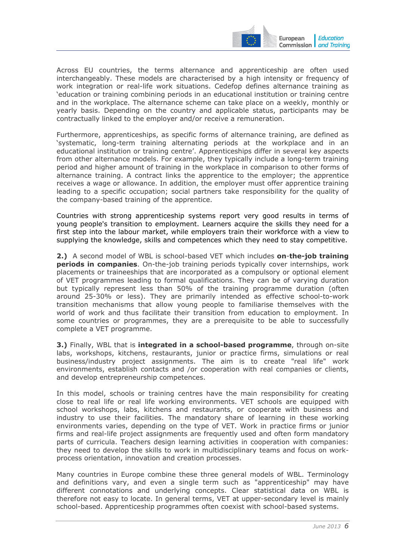

Across EU countries, the terms alternance and apprenticeship are often used interchangeably. These models are characterised by a high intensity or frequency of work integration or real-life work situations. Cedefop defines alternance training as 'education or training combining periods in an educational institution or training centre and in the workplace. The alternance scheme can take place on a weekly, monthly or yearly basis. Depending on the country and applicable status, participants may be contractually linked to the employer and/or receive a remuneration.

Furthermore, apprenticeships, as specific forms of alternance training, are defined as 'systematic, long-term training alternating periods at the workplace and in an educational institution or training centre'. Apprenticeships differ in several key aspects from other alternance models. For example, they typically include a long-term training period and higher amount of training in the workplace in comparison to other forms of alternance training. A contract links the apprentice to the employer; the apprentice receives a wage or allowance. In addition, the employer must offer apprentice training leading to a specific occupation; social partners take responsibility for the quality of the company-based training of the apprentice.

Countries with strong apprenticeship systems report very good results in terms of young people's transition to employment. Learners acquire the skills they need for a first step into the labour market, while employers train their workforce with a view to supplying the knowledge, skills and competences which they need to stay competitive.

**2.)** A second model of WBL is school-based VET which includes **on**-**the-job training periods in companies**. On-the-job training periods typically cover internships, work placements or traineeships that are incorporated as a compulsory or optional element of VET programmes leading to formal qualifications. They can be of varying duration but typically represent less than 50% of the training programme duration (often around 25-30% or less). They are primarily intended as effective school-to-work transition mechanisms that allow young people to familiarise themselves with the world of work and thus facilitate their transition from education to employment. In some countries or programmes, they are a prerequisite to be able to successfully complete a VET programme.

**3.)** Finally, WBL that is **integrated in a school-based programme**, through on-site labs, workshops, kitchens, restaurants, junior or practice firms, simulations or real business/industry project assignments. The aim is to create "real life" work environments, establish contacts and /or cooperation with real companies or clients, and develop entrepreneurship competences.

In this model, schools or training centres have the main responsibility for creating close to real life or real life working environments. VET schools are equipped with school workshops, labs, kitchens and restaurants, or cooperate with business and industry to use their facilities. The mandatory share of learning in these working environments varies, depending on the type of VET. Work in practice firms or junior firms and real-life project assignments are frequently used and often form mandatory parts of curricula. Teachers design learning activities in cooperation with companies: they need to develop the skills to work in multidisciplinary teams and focus on workprocess orientation, innovation and creation processes.

Many countries in Europe combine these three general models of WBL. Terminology and definitions vary, and even a single term such as "apprenticeship" may have different connotations and underlying concepts. Clear statistical data on WBL is therefore not easy to locate. In general terms, VET at upper-secondary level is mainly school-based. Apprenticeship programmes often coexist with school-based systems.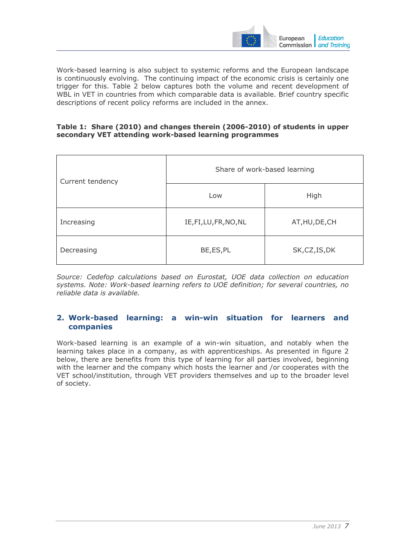

Work-based learning is also subject to systemic reforms and the European landscape is continuously evolving. The continuing impact of the economic crisis is certainly one trigger for this. Table 2 below captures both the volume and recent development of WBL in VET in countries from which comparable data is available. Brief country specific descriptions of recent policy reforms are included in the annex.

#### **Table 1: Share (2010) and changes therein (2006-2010) of students in upper secondary VET attending work-based learning programmes**

| Current tendency | Share of work-based learning |                |  |
|------------------|------------------------------|----------------|--|
|                  | Low                          | High           |  |
| Increasing       | IE, FI, LU, FR, NO, NL       | AT, HU, DE, CH |  |
| Decreasing       | BE, ES, PL                   | SK, CZ, IS, DK |  |

*Source: Cedefop calculations based on Eurostat, UOE data collection on education systems. Note: Work-based learning refers to UOE definition; for several countries, no reliable data is available.* 

# <span id="page-6-0"></span>**2. Work-based learning: a win-win situation for learners and companies**

Work-based learning is an example of a win-win situation, and notably when the learning takes place in a company, as with apprenticeships. As presented in figure 2 below, there are benefits from this type of learning for all parties involved, beginning with the learner and the company which hosts the learner and /or cooperates with the VET school/institution, through VET providers themselves and up to the broader level of society.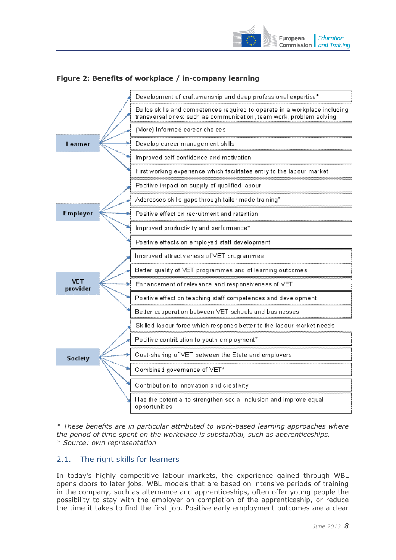



# **Figure 2: Benefits of workplace / in-company learning**

*\* These benefits are in particular attributed to work-based learning approaches where the period of time spent on the workplace is substantial, such as apprenticeships. \* Source: own representation* 

# <span id="page-7-0"></span>2.1. The right skills for learners

In today's highly competitive labour markets, the experience gained through WBL opens doors to later jobs. WBL models that are based on intensive periods of training in the company, such as alternance and apprenticeships, often offer young people the possibility to stay with the employer on completion of the apprenticeship, or reduce the time it takes to find the first job. Positive early employment outcomes are a clear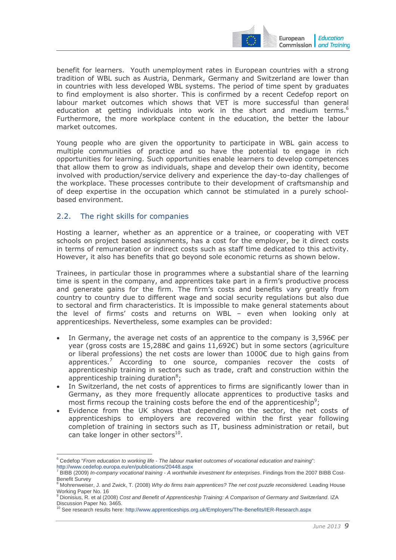

benefit for learners. Youth unemployment rates in European countries with a strong tradition of WBL such as Austria, Denmark, Germany and Switzerland are lower than in countries with less developed WBL systems. The period of time spent by graduates to find employment is also shorter. This is confirmed by a recent Cedefop report on labour market outcomes which shows that VET is more successful than general education at getting individuals into work in the short and medium terms.<sup>6</sup> Furthermore, the more workplace content in the education, the better the labour market outcomes.

Young people who are given the opportunity to participate in WBL gain access to multiple communities of practice and so have the potential to engage in rich opportunities for learning. Such opportunities enable learners to develop competences that allow them to grow as individuals, shape and develop their own identity, become involved with production/service delivery and experience the day-to-day challenges of the workplace. These processes contribute to their development of craftsmanship and of deep expertise in the occupation which cannot be stimulated in a purely schoolbased environment.

# <span id="page-8-0"></span>2.2. The right skills for companies

Hosting a learner, whether as an apprentice or a trainee, or cooperating with VET schools on project based assignments, has a cost for the employer, be it direct costs in terms of remuneration or indirect costs such as staff time dedicated to this activity. However, it also has benefits that go beyond sole economic returns as shown below.

Trainees, in particular those in programmes where a substantial share of the learning time is spent in the company, and apprentices take part in a firm's productive process and generate gains for the firm. The firm's costs and benefits vary greatly from country to country due to different wage and social security regulations but also due to sectoral and firm characteristics. It is impossible to make general statements about the level of firms' costs and returns on WBL – even when looking only at apprenticeships. Nevertheless, some examples can be provided:

- In Germany, the average net costs of an apprentice to the company is  $3.596C$  per year (gross costs are 15,288€ and gains 11,692€) but in some sectors (agriculture or liberal professions) the net costs are lower than 1000€ due to high gains from apprentices.<sup>7</sup> According to one source, companies recover the costs of apprenticeship training in sectors such as trade, craft and construction within the apprenticeship training duration $8$ ;
- In Switzerland, the net costs of apprentices to firms are significantly lower than in Germany, as they more frequently allocate apprentices to productive tasks and most firms recoup the training costs before the end of the apprenticeship<sup>9</sup>;
- Evidence from the UK shows that depending on the sector, the net costs of apprenticeships to employers are recovered within the first year following completion of training in sectors such as IT, business administration or retail, but can take longer in other sectors $10$ .

<sup>-</sup>6 Cedefop "*From education to working life - The labour market outcomes of vocational education and training*": <http://www.cedefop.europa.eu/en/publications/20448.aspx><br><sup>7</sup> BIBB (2000), in company usestional training. A worthup

BIBB (2009) *In-company vocational training - A worthwhile investment for enterprises*. Findings from the 2007 BIBB Cost-Benefit Survey

Mohrenweiser, J. and Zwick, T. (2008) *[Why do firms train apprentices? The net cost puzzle reconsidered.](http://ideas.repec.org/a/eee/labeco/v16y2009i6p631-637.html)* Leading House Working Paper No. 16

<sup>9</sup> Dionisius, R. et al (2008) *Cost and Benefit of Apprenticeship Training: A Comparison of Germany and Switzerland*. IZA Discussion Paper No. 3465.

[<sup>10</sup> See research results here: http://www.apprenticeships.org.uk/Employers/The-Benefits/IER-Research.aspx](http://www.apprenticeships.org.uk/Employers/The-Benefits/IER-Research.aspx)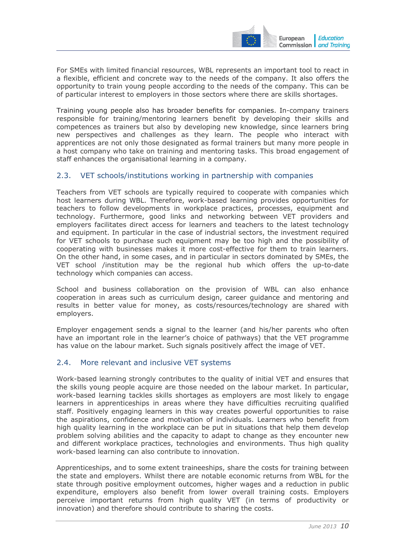

For SMEs with limited financial resources, WBL represents an important tool to react in a flexible, efficient and concrete way to the needs of the company. It also offers the opportunity to train young people according to the needs of the company. This can be of particular interest to employers in those sectors where there are skills shortages.

Training young people also has broader benefits for companies. In-company trainers responsible for training/mentoring learners benefit by developing their skills and competences as trainers but also by developing new knowledge, since learners bring new perspectives and challenges as they learn. The people who interact with apprentices are not only those designated as formal trainers but many more people in a host company who take on training and mentoring tasks. This broad engagement of staff enhances the organisational learning in a company.

# <span id="page-9-0"></span>2.3. VET schools/institutions working in partnership with companies

Teachers from VET schools are typically required to cooperate with companies which host learners during WBL. Therefore, work-based learning provides opportunities for teachers to follow developments in workplace practices, processes, equipment and technology. Furthermore, good links and networking between VET providers and employers facilitates direct access for learners and teachers to the latest technology and equipment. In particular in the case of industrial sectors, the investment required for VET schools to purchase such equipment may be too high and the possibility of cooperating with businesses makes it more cost-effective for them to train learners. On the other hand, in some cases, and in particular in sectors dominated by SMEs, the VET school /institution may be the regional hub which offers the up-to-date technology which companies can access.

School and business collaboration on the provision of WBL can also enhance cooperation in areas such as curriculum design, career guidance and mentoring and results in better value for money, as costs/resources/technology are shared with employers.

Employer engagement sends a signal to the learner (and his/her parents who often have an important role in the learner's choice of pathways) that the VET programme has value on the labour market. Such signals positively affect the image of VET.

# <span id="page-9-1"></span>2.4. More relevant and inclusive VET systems

Work-based learning strongly contributes to the quality of initial VET and ensures that the skills young people acquire are those needed on the labour market. In particular, work-based learning tackles skills shortages as employers are most likely to engage learners in apprenticeships in areas where they have difficulties recruiting qualified staff. Positively engaging learners in this way creates powerful opportunities to raise the aspirations, confidence and motivation of individuals. Learners who benefit from high quality learning in the workplace can be put in situations that help them develop problem solving abilities and the capacity to adapt to change as they encounter new and different workplace practices, technologies and environments. Thus high quality work-based learning can also contribute to innovation.

Apprenticeships, and to some extent traineeships, share the costs for training between the state and employers. Whilst there are notable economic returns from WBL for the state through positive employment outcomes, higher wages and a reduction in public expenditure, employers also benefit from lower overall training costs. Employers perceive important returns from high quality VET (in terms of productivity or innovation) and therefore should contribute to sharing the costs.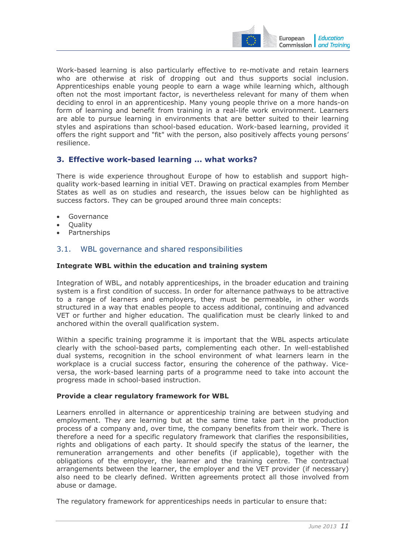

Work-based learning is also particularly effective to re-motivate and retain learners who are otherwise at risk of dropping out and thus supports social inclusion. Apprenticeships enable young people to earn a wage while learning which, although often not the most important factor, is nevertheless relevant for many of them when deciding to enrol in an apprenticeship. Many young people thrive on a more hands-on form of learning and benefit from training in a real-life work environment. Learners are able to pursue learning in environments that are better suited to their learning styles and aspirations than school-based education. Work-based learning, provided it offers the right support and "fit" with the person, also positively affects young persons' resilience.

# <span id="page-10-0"></span>**3. Effective work-based learning ... what works?**

There is wide experience throughout Europe of how to establish and support highquality work-based learning in initial VET. Drawing on practical examples from Member States as well as on studies and research, the issues below can be highlighted as success factors. They can be grouped around three main concepts:

- **Governance**
- **Ouality**
- Partnerships

# <span id="page-10-1"></span>3.1. WBL governance and shared responsibilities

#### **Integrate WBL within the education and training system**

Integration of WBL, and notably apprenticeships, in the broader education and training system is a first condition of success. In order for alternance pathways to be attractive to a range of learners and employers, they must be permeable, in other words structured in a way that enables people to access additional, continuing and advanced VET or further and higher education. The qualification must be clearly linked to and anchored within the overall qualification system.

Within a specific training programme it is important that the WBL aspects articulate clearly with the school-based parts, complementing each other. In well-established dual systems, recognition in the school environment of what learners learn in the workplace is a crucial success factor, ensuring the coherence of the pathway. Viceversa, the work-based learning parts of a programme need to take into account the progress made in school-based instruction.

#### **Provide a clear regulatory framework for WBL**

Learners enrolled in alternance or apprenticeship training are between studying and employment. They are learning but at the same time take part in the production process of a company and, over time, the company benefits from their work. There is therefore a need for a specific regulatory framework that clarifies the responsibilities, rights and obligations of each party. It should specify the status of the learner, the remuneration arrangements and other benefits (if applicable), together with the obligations of the employer, the learner and the training centre. The contractual arrangements between the learner, the employer and the VET provider (if necessary) also need to be clearly defined. Written agreements protect all those involved from abuse or damage.

The regulatory framework for apprenticeships needs in particular to ensure that: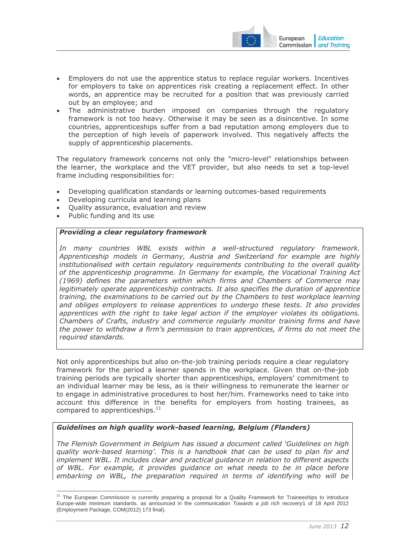

- Employers do not use the apprentice status to replace regular workers. Incentives for employers to take on apprentices risk creating a replacement effect. In other words, an apprentice may be recruited for a position that was previously carried out by an employee; and
- The administrative burden imposed on companies through the regulatory framework is not too heavy. Otherwise it may be seen as a disincentive. In some countries, apprenticeships suffer from a bad reputation among employers due to the perception of high levels of paperwork involved. This negatively affects the supply of apprenticeship placements.

The regulatory framework concerns not only the "micro-level" relationships between the learner, the workplace and the VET provider, but also needs to set a top-level frame including responsibilities for:

- Developing qualification standards or learning outcomes-based requirements
- Developing curricula and learning plans
- Quality assurance, evaluation and review
- Public funding and its use

#### *Providing a clear regulatory framework*

*In many countries WBL exists within a well-structured regulatory framework. Apprenticeship models in Germany, Austria and Switzerland for example are highly institutionalised with certain regulatory requirements contributing to the overall quality of the apprenticeship programme. In Germany for example, the Vocational Training Act (1969) defines the parameters within which firms and Chambers of Commerce may legitimately operate apprenticeship contracts. It also specifies the duration of apprentice training, the examinations to be carried out by the Chambers to test workplace learning and obliges employers to release apprentices to undergo these tests. It also provides apprentices with the right to take legal action if the employer violates its obligations. Chambers of Crafts, industry and commerce regularly monitor training firms and have the power to withdraw a firm's permission to train apprentices, if firms do not meet the required standards.* 

Not only apprenticeships but also on-the-job training periods require a clear regulatory framework for the period a learner spends in the workplace. Given that on-the-job training periods are typically shorter than apprenticeships, employers' commitment to an individual learner may be less, as is their willingness to remunerate the learner or to engage in administrative procedures to host her/him. Frameworks need to take into account this difference in the benefits for employers from hosting trainees, as compared to apprenticeships.<sup>11</sup>

# *Guidelines on high quality work-based learning, Belgium (Flanders)*

*The Flemish Government in Belgium has issued a document called 'Guidelines on high quality work-based learning'. This is a handbook that can be used to plan for and implement WBL. It includes clear and practical guidance in relation to different aspects of WBL. For example, it provides guidance on what needs to be in place before embarking on WBL, the preparation required in terms of identifying who will be* 

<sup>-</sup><sup>11</sup> The European Commission is currently preparing a proposal for a Quality Framework for Traineeships to introduce Europe-wide minimum standards, as announced in the communication *Towards a job rich recovery*1 of 18 April 2012 (Employment Package, COM(2012) 173 final).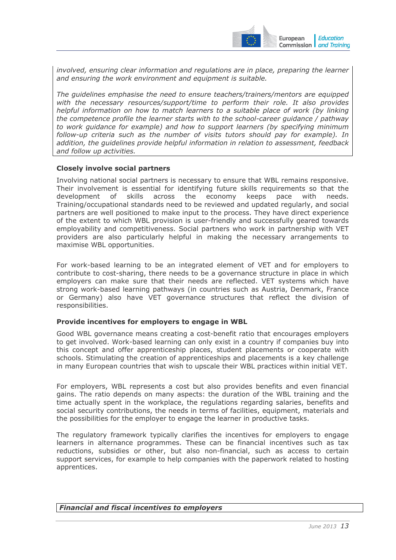

*involved, ensuring clear information and regulations are in place, preparing the learner and ensuring the work environment and equipment is suitable.* 

*The guidelines emphasise the need to ensure teachers/trainers/mentors are equipped with the necessary resources/support/time to perform their role. It also provides helpful information on how to match learners to a suitable place of work (by linking the competence profile the learner starts with to the school-career guidance / pathway to work guidance for example) and how to support learners (by specifying minimum follow-up criteria such as the number of visits tutors should pay for example). In addition, the guidelines provide helpful information in relation to assessment, feedback and follow up activities.* 

#### **Closely involve social partners**

Involving national social partners is necessary to ensure that WBL remains responsive. Their involvement is essential for identifying future skills requirements so that the development of skills across the economy keeps pace with needs. Training/occupational standards need to be reviewed and updated regularly, and social partners are well positioned to make input to the process. They have direct experience of the extent to which WBL provision is user-friendly and successfully geared towards employability and competitiveness. Social partners who work in partnership with VET providers are also particularly helpful in making the necessary arrangements to maximise WBL opportunities.

For work-based learning to be an integrated element of VET and for employers to contribute to cost-sharing, there needs to be a governance structure in place in which employers can make sure that their needs are reflected. VET systems which have strong work-based learning pathways (in countries such as Austria, Denmark, France or Germany) also have VET governance structures that reflect the division of responsibilities.

#### **Provide incentives for employers to engage in WBL**

Good WBL governance means creating a cost-benefit ratio that encourages employers to get involved. Work-based learning can only exist in a country if companies buy into this concept and offer apprenticeship places, student placements or cooperate with schools. Stimulating the creation of apprenticeships and placements is a key challenge in many European countries that wish to upscale their WBL practices within initial VET.

For employers, WBL represents a cost but also provides benefits and even financial gains. The ratio depends on many aspects: the duration of the WBL training and the time actually spent in the workplace, the regulations regarding salaries, benefits and social security contributions, the needs in terms of facilities, equipment, materials and the possibilities for the employer to engage the learner in productive tasks.

The regulatory framework typically clarifies the incentives for employers to engage learners in alternance programmes. These can be financial incentives such as tax reductions, subsidies or other, but also non-financial, such as access to certain support services, for example to help companies with the paperwork related to hosting apprentices.

#### *Financial and fiscal incentives to employers*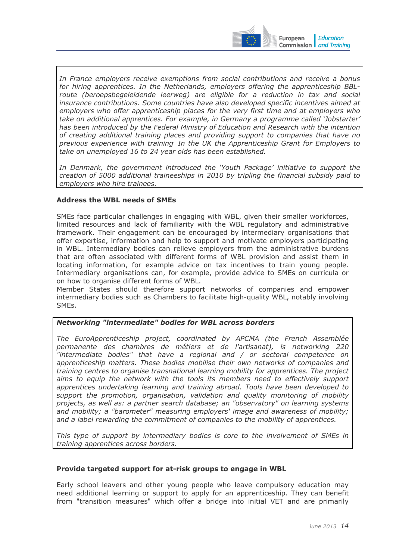

In France employers receive exemptions from social contributions and receive a bonus *for hiring apprentices. In the Netherlands, employers offering the apprenticeship BBL*route (beroepsbegeleidende leerweg) are eligible for a reduction in tax and social *insurance contributions. Some countries have also developed specific incentives aimed at employers who offer apprenticeship places for the very first time and at employers who take on additional apprentices. For example, in Germany a programme called 'Jobstarter' has been introduced by the Federal Ministry of Education and Research with the intention of creating additional training places and providing support to companies that have no*  previous experience with training<sup>.</sup> In the UK the Apprenticeship Grant for Employers to *take on unemployed 16 to 24 year olds has been established.* 

In Denmark, the government introduced the 'Youth Package' initiative to support the *creation of 5000 additional traineeships in 2010 by tripling the financial subsidy paid to employers who hire trainees.*

# **Address the WBL needs of SMEs**

SMEs face particular challenges in engaging with WBL, given their smaller workforces, limited resources and lack of familiarity with the WBL regulatory and administrative framework. Their engagement can be encouraged by intermediary organisations that offer expertise, information and help to support and motivate employers participating in WBL. Intermediary bodies can relieve employers from the administrative burdens that are often associated with different forms of WBL provision and assist them in locating information, for example advice on tax incentives to train young people. Intermediary organisations can, for example, provide advice to SMEs on curricula or on how to organise different forms of WBL.

Member States should therefore support networks of companies and empower intermediary bodies such as Chambers to facilitate high-quality WBL, notably involving SMEs.

# *Networking "intermediate" bodies for WBL across borders*

*The EuroApprenticeship project, coordinated by APCMA (the French Assemblée permanente des chambres de métiers et de l'artisanat), is networking 220 "intermediate bodies" that have a regional and / or sectoral competence on apprenticeship matters. These bodies mobilise their own networks of companies and training centres to organise transnational learning mobility for apprentices. The project aims to equip the network with the tools its members need to effectively support apprentices undertaking learning and training abroad. Tools have been developed to support the promotion, organisation, validation and quality monitoring of mobility projects, as well as: a partner search database; an "observatory" on learning systems and mobility; a "barometer" measuring employers' image and awareness of mobility; and a label rewarding the commitment of companies to the mobility of apprentices.* 

*This type of support by intermediary bodies is core to the involvement of SMEs in training apprentices across borders.* 

#### **Provide targeted support for at-risk groups to engage in WBL**

Early school leavers and other young people who leave compulsory education may need additional learning or support to apply for an apprenticeship. They can benefit from "transition measures" which offer a bridge into initial VET and are primarily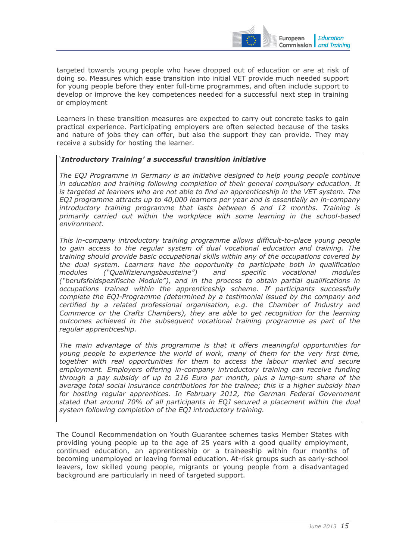

targeted towards young people who have dropped out of education or are at risk of doing so. Measures which ease transition into initial VET provide much needed support for young people before they enter full-time programmes, and often include support to develop or improve the key competences needed for a successful next step in training or employment

Learners in these transition measures are expected to carry out concrete tasks to gain practical experience. Participating employers are often selected because of the tasks and nature of jobs they can offer, but also the support they can provide. They may receive a subsidy for hosting the learner.

#### '*Introductory Training' a successful transition initiative*

*The EQJ Programme in Germany is an initiative designed to help young people continue in education and training following completion of their general compulsory education. It is targeted at learners who are not able to find an apprenticeship in the VET system. The EQJ programme attracts up to 40,000 learners per year and is essentially an in-company introductory training programme that lasts between 6 and 12 months. Training is primarily carried out within the workplace with some learning in the school-based environment.* 

*This in-company introductory training programme allows difficult-to-place young people to gain access to the regular system of dual vocational education and training. The training should provide basic occupational skills within any of the occupations covered by the dual system. Learners have the opportunity to participate both in qualification modules ("Qualifizierungsbausteine") and specific vocational modules ("berufsfeldspezifische Module"), and in the process to obtain partial qualifications in occupations trained within the apprenticeship scheme. If participants successfully complete the EQJ-Programme (determined by a testimonial issued by the company and certified by a related professional organisation, e.g. the Chamber of Industry and Commerce or the Crafts Chambers), they are able to get recognition for the learning outcomes achieved in the subsequent vocational training programme as part of the regular apprenticeship.* 

*The main advantage of this programme is that it offers meaningful opportunities for young people to experience the world of work, many of them for the very first time, together with real opportunities for them to access the labour market and secure employment. Employers offering in-company introductory training can receive funding through a pay subsidy of up to 216 Euro per month, plus a lump-sum share of the average total social insurance contributions for the trainee; this is a higher subsidy than for hosting regular apprentices. In February 2012, the German Federal Government stated that around 70% of all participants in EQJ secured a placement within the dual system following completion of the EQJ introductory training.* 

The Council Recommendation on Youth Guarantee schemes tasks Member States with providing young people up to the age of 25 years with a good quality employment, continued education, an apprenticeship or a traineeship within four months of becoming unemployed or leaving formal education. At-risk groups such as early-school leavers, low skilled young people, migrants or young people from a disadvantaged background are particularly in need of targeted support.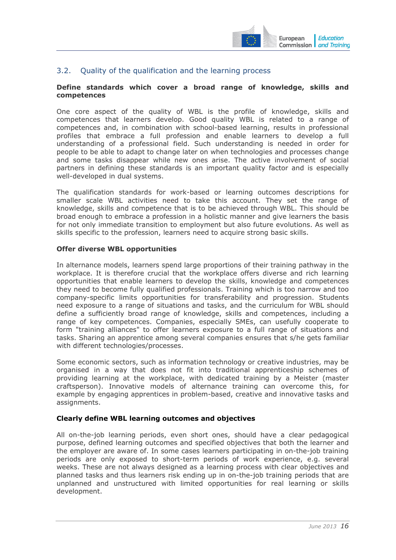

# <span id="page-15-0"></span>3.2. Quality of the qualification and the learning process

#### **Define standards which cover a broad range of knowledge, skills and competences**

One core aspect of the quality of WBL is the profile of knowledge, skills and competences that learners develop. Good quality WBL is related to a range of competences and, in combination with school-based learning, results in professional profiles that embrace a full profession and enable learners to develop a full understanding of a professional field. Such understanding is needed in order for people to be able to adapt to change later on when technologies and processes change and some tasks disappear while new ones arise. The active involvement of social partners in defining these standards is an important quality factor and is especially well-developed in dual systems.

The qualification standards for work-based or learning outcomes descriptions for smaller scale WBL activities need to take this account. They set the range of knowledge, skills and competence that is to be achieved through WBL. This should be broad enough to embrace a profession in a holistic manner and give learners the basis for not only immediate transition to employment but also future evolutions. As well as skills specific to the profession, learners need to acquire strong basic skills.

#### **Offer diverse WBL opportunities**

In alternance models, learners spend large proportions of their training pathway in the workplace. It is therefore crucial that the workplace offers diverse and rich learning opportunities that enable learners to develop the skills, knowledge and competences they need to become fully qualified professionals. Training which is too narrow and too company-specific limits opportunities for transferability and progression. Students need exposure to a range of situations and tasks, and the curriculum for WBL should define a sufficiently broad range of knowledge, skills and competences, including a range of key competences. Companies, especially SMEs, can usefully cooperate to form "training alliances" to offer learners exposure to a full range of situations and tasks. Sharing an apprentice among several companies ensures that s/he gets familiar with different technologies/processes.

Some economic sectors, such as information technology or creative industries, may be organised in a way that does not fit into traditional apprenticeship schemes of providing learning at the workplace, with dedicated training by a Meister (master craftsperson). Innovative models of alternance training can overcome this, for example by engaging apprentices in problem-based, creative and innovative tasks and assignments.

#### **Clearly define WBL learning outcomes and objectives**

All on-the-job learning periods, even short ones, should have a clear pedagogical purpose, defined learning outcomes and specified objectives that both the learner and the employer are aware of. In some cases learners participating in on-the-job training periods are only exposed to short-term periods of work experience, e.g. several weeks. These are not always designed as a learning process with clear objectives and planned tasks and thus learners risk ending up in on-the-job training periods that are unplanned and unstructured with limited opportunities for real learning or skills development.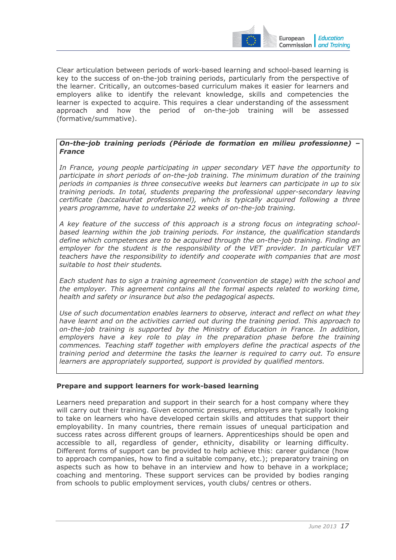

Clear articulation between periods of work-based learning and school-based learning is key to the success of on-the-job training periods, particularly from the perspective of the learner. Critically, an outcomes-based curriculum makes it easier for learners and employers alike to identify the relevant knowledge, skills and competencies the learner is expected to acquire. This requires a clear understanding of the assessment approach and how the period of on-the-job training will be assessed (formative/summative).

#### *On-the-job training periods (Période de formation en milieu professionne) – France*

*In France, young people participating in upper secondary VET have the opportunity to participate in short periods of on-the-job training. The minimum duration of the training periods in companies is three consecutive weeks but learners can participate in up to six training periods. In total, students preparing the professional upper-secondary leaving certificate (baccalauréat professionnel), which is typically acquired following a three years programme, have to undertake 22 weeks of on-the-job training.* 

*A key feature of the success of this approach is a strong focus on integrating schoolbased learning within the job training periods. For instance, the qualification standards define which competences are to be acquired through the on-the-job training. Finding an employer for the student is the responsibility of the VET provider. In particular VET teachers have the responsibility to identify and cooperate with companies that are most suitable to host their students.* 

*Each student has to sign a training agreement (convention de stage) with the school and the employer. This agreement contains all the formal aspects related to working time, health and safety or insurance but also the pedagogical aspects.* 

*Use of such documentation enables learners to observe, interact and reflect on what they have learnt and on the activities carried out during the training period. This approach to on-the-job training is supported by the Ministry of Education in France. In addition, employers have a key role to play in the preparation phase before the training commences. Teaching staff together with employers define the practical aspects of the training period and determine the tasks the learner is required to carry out. To ensure learners are appropriately supported, support is provided by qualified mentors.* 

#### **Prepare and support learners for work-based learning**

Learners need preparation and support in their search for a host company where they will carry out their training. Given economic pressures, employers are typically looking to take on learners who have developed certain skills and attitudes that support their employability. In many countries, there remain issues of unequal participation and success rates across different groups of learners. Apprenticeships should be open and accessible to all, regardless of gender, ethnicity, disability or learning difficulty. Different forms of support can be provided to help achieve this: career guidance (how to approach companies, how to find a suitable company, etc.); preparatory training on aspects such as how to behave in an interview and how to behave in a workplace; coaching and mentoring. These support services can be provided by bodies ranging from schools to public employment services, youth clubs/ centres or others.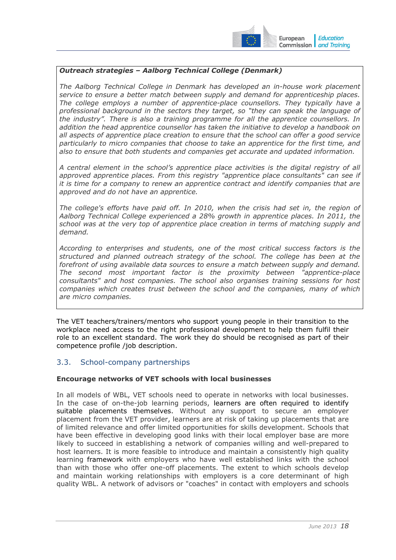

**Education** European Commission | and Training

# *Outreach strategies – Aalborg Technical College (Denmark)*

*The Aalborg Technical College in Denmark has developed an in-house work placement service to ensure a better match between supply and demand for apprenticeship places. The college employs a number of apprentice-place counsellors. They typically have a professional background in the sectors they target, so "they can speak the language of the industry". There is also a training programme for all the apprentice counsellors. In addition the head apprentice counsellor has taken the initiative to develop a handbook on all aspects of apprentice place creation to ensure that the school can offer a good service particularly to micro companies that choose to take an apprentice for the first time, and also to ensure that both students and companies get accurate and updated information.* 

*A central element in the school's apprentice place activities is the digital registry of all*  approved apprentice places. From this registry "apprentice place consultants" can see if *it is time for a company to renew an apprentice contract and identify companies that are approved and do not have an apprentice.* 

*The college's efforts have paid off. In 2010, when the crisis had set in, the region of Aalborg Technical College experienced a 28% growth in apprentice places. In 2011, the school was at the very top of apprentice place creation in terms of matching supply and demand.* 

*According to enterprises and students, one of the most critical success factors is the structured and planned outreach strategy of the school. The college has been at the forefront of using available data sources to ensure a match between supply and demand. The second most important factor is the proximity between "apprentice-place consultants" and host companies. The school also organises training sessions for host companies which creates trust between the school and the companies, many of which are micro companies.* 

The VET teachers/trainers/mentors who support young people in their transition to the workplace need access to the right professional development to help them fulfil their role to an excellent standard. The work they do should be recognised as part of their competence profile /job description.

# <span id="page-17-0"></span>3.3. School-company partnerships

#### **Encourage networks of VET schools with local businesses**

In all models of WBL, VET schools need to operate in networks with local businesses. In the case of on-the-job learning periods, learners are often required to identify suitable placements themselves. Without any support to secure an employer placement from the VET provider, learners are at risk of taking up placements that are of limited relevance and offer limited opportunities for skills development. Schools that have been effective in developing good links with their local employer base are more likely to succeed in establishing a network of companies willing and well-prepared to host learners. It is more feasible to introduce and maintain a consistently high quality learning framework with employers who have well established links with the school than with those who offer one-off placements. The extent to which schools develop and maintain working relationships with employers is a core determinant of high quality WBL. A network of advisors or "coaches" in contact with employers and schools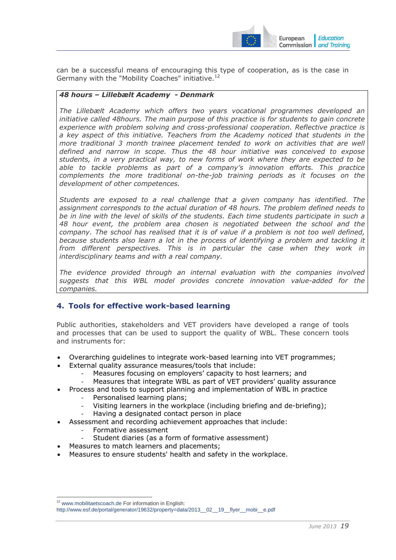

can be a successful means of encouraging this type of cooperation, as is the case in Germany with the "Mobility Coaches" initiative.<sup>12</sup>

#### *48 hours – Lillebælt Academy - Denmark*

*The Lillebælt Academy which offers two years vocational programmes developed an initiative called 48hours. The main purpose of this practice is for students to gain concrete experience with problem solving and cross-professional cooperation. Reflective practice is a key aspect of this initiative. Teachers from the Academy noticed that students in the more traditional 3 month trainee placement tended to work on activities that are well defined and narrow in scope. Thus the 48 hour initiative was conceived to expose students, in a very practical way, to new forms of work where they are expected to be able to tackle problems as part of a company's innovation efforts. This practice complements the more traditional on-the-job training periods as it focuses on the development of other competences.* 

*Students are exposed to a real challenge that a given company has identified. The assignment corresponds to the actual duration of 48 hours. The problem defined needs to be in line with the level of skills of the students. Each time students participate in such a 48 hour event, the problem area chosen is negotiated between the school and the company. The school has realised that it is of value if a problem is not too well defined, because students also learn a lot in the process of identifying a problem and tackling it*  from different perspectives. This is in particular the case when they work in *interdisciplinary teams and with a real company.* 

*The evidence provided through an internal evaluation with the companies involved suggests that this WBL model provides concrete innovation value-added for the companies.*

# <span id="page-18-0"></span>**4. Tools for effective work-based learning**

Public authorities, stakeholders and VET providers have developed a range of tools and processes that can be used to support the quality of WBL. These concern tools and instruments for:

- Overarching guidelines to integrate work-based learning into VET programmes;
- External quality assurance measures/tools that include:
	- Measures focusing on employers' capacity to host learners; and
	- Measures that integrate WBL as part of VET providers' quality assurance
- Process and tools to support planning and implementation of WBL in practice
	- Personalised learning plans;
	- Visiting learners in the workplace (including briefing and de-briefing);
	- Having a designated contact person in place
	- Assessment and recording achievement approaches that include:
		- Formative assessment
		- Student diaries (as a form of formative assessment)
- Measures to match learners and placements;
- Measures to ensure students' health and safety in the workplace.

<sup>12</sup> [www.mobilitaetscoach.de F](http://www.mobilitaetscoach.de/)or information in English:

[http://www.esf.de/portal/generator/19632/property=data/2013\\_\\_02\\_\\_19\\_\\_flyer\\_\\_mobi\\_\\_e.pdf](http://www.esf.de/portal/generator/19632/property=data/2013__02__19__flyer__mobi__e.pdf)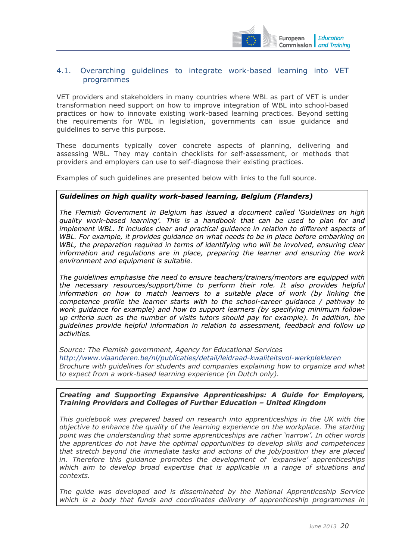

# <span id="page-19-0"></span>4.1. Overarching guidelines to integrate work-based learning into VET programmes

VET providers and stakeholders in many countries where WBL as part of VET is under transformation need support on how to improve integration of WBL into school-based practices or how to innovate existing work-based learning practices. Beyond setting the requirements for WBL in legislation, governments can issue guidance and guidelines to serve this purpose.

These documents typically cover concrete aspects of planning, delivering and assessing WBL. They may contain checklists for self-assessment, or methods that providers and employers can use to self-diagnose their existing practices.

Examples of such guidelines are presented below with links to the full source.

#### *Guidelines on high quality work-based learning, Belgium (Flanders)*

*The Flemish Government in Belgium has issued a document called 'Guidelines on high quality work-based learning'. This is a handbook that can be used to plan for and*  implement WBL. It includes clear and practical guidance in relation to different aspects of *WBL. For example, it provides guidance on what needs to be in place before embarking on*  WBL, the preparation required in terms of identifying who will be involved, ensuring clear *information and regulations are in place, preparing the learner and ensuring the work environment and equipment is suitable.* 

*The guidelines emphasise the need to ensure teachers/trainers/mentors are equipped with the necessary resources/support/time to perform their role. It also provides helpful*  information on how to match learners to a suitable place of work (by linking the *competence profile the learner starts with to the school-career guidance / pathway to work guidance for example) and how to support learners (by specifying minimum followup criteria such as the number of visits tutors should pay for example). In addition, the guidelines provide helpful information in relation to assessment, feedback and follow up activities.* 

*Source: The Flemish government, Agency for Educational Services <http://www.vlaanderen.be/nl/publicaties/detail/leidraad-kwaliteitsvol-werkplekleren> Brochure with guidelines for students and companies explaining how to organize and what to expect from a work-based learning experience (in Dutch only).* 

#### *Creating and Supporting Expansive Apprenticeships: A Guide for Employers, Training Providers and Colleges of Further Education – United Kingdom*

*This guidebook was prepared based on research into apprenticeships in the UK with the objective to enhance the quality of the learning experience on the workplace. The starting point was the understanding that some apprenticeships are rather 'narrow'. In other words the apprentices do not have the optimal opportunities to develop skills and competences that stretch beyond the immediate tasks and actions of the job/position they are placed in. Therefore this guidance promotes the development of 'expansive' apprenticeships which aim to develop broad expertise that is applicable in a range of situations and contexts.* 

*The guide was developed and is disseminated by the National Apprenticeship Service which is a body that funds and coordinates delivery of apprenticeship programmes in*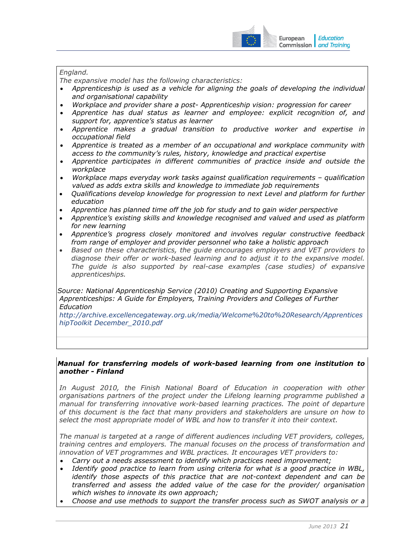

# *England.*

*The expansive model has the following characteristics:* 

- *Apprenticeship is used as a vehicle for aligning the goals of developing the individual and organisational capability*
- *Workplace and provider share a post- Apprenticeship vision: progression for career*
- *Apprentice has dual status as learner and employee: explicit recognition of, and support for, apprentice's status as learner*
- *Apprentice makes a gradual transition to productive worker and expertise in occupational field*
- *Apprentice is treated as a member of an occupational and workplace community with access to the community's rules, history, knowledge and practical expertise*
- *Apprentice participates in different communities of practice inside and outside the workplace*
- *Workplace maps everyday work tasks against qualification requirements qualification valued as adds extra skills and knowledge to immediate job requirements*
- *Qualifications develop knowledge for progression to next Level and platform for further education*
- *Apprentice has planned time off the job for study and to gain wider perspective*
- *Apprentice's existing skills and knowledge recognised and valued and used as platform for new learning*
- *Apprentice's progress closely monitored and involves regular constructive feedback from range of employer and provider personnel who take a holistic approach*
- *Based on these characteristics, the guide encourages employers and VET providers to diagnose their offer or work-based learning and to adjust it to the expansive model. The guide is also supported by real-case examples (case studies) of expansive apprenticeships.*

*Source: National Apprenticeship Service (2010) Creating and Supporting Expansive Apprenticeships: A Guide for Employers, Training Providers and Colleges of Further Education* 

*[http://archive.excellencegateway.org.uk/media/Welcome%20to%20Research/Apprentices](http://archive.excellencegateway.org.uk/media/Welcome to Research/ApprenticeshipToolkit December_2010.pdf) [hipToolkit December\\_2010.pdf](http://archive.excellencegateway.org.uk/media/Welcome to Research/ApprenticeshipToolkit December_2010.pdf)* 

#### *Manual for transferring models of work-based learning from one institution to another - Finland*

In August 2010, the Finish National Board of Education in cooperation with other *organisations partners of the project under the Lifelong learning programme published a manual for transferring innovative work-based learning practices. The point of departure of this document is the fact that many providers and stakeholders are unsure on how to select the most appropriate model of WBL and how to transfer it into their context.* 

*The manual is targeted at a range of different audiences including VET providers, colleges, training centres and employers. The manual focuses on the process of transformation and innovation of VET programmes and WBL practices. It encourages VET providers to:* 

- *Carry out a needs assessment to identify which practices need improvement;*
- *Identify good practice to learn from using criteria for what is a good practice in WBL, identify those aspects of this practice that are not-context dependent and can be transferred and assess the added value of the case for the provider/ organisation which wishes to innovate its own approach;*
- *Choose and use methods to support the transfer process such as SWOT analysis or a*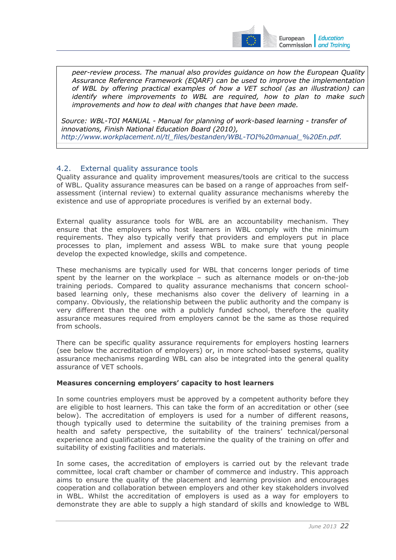

*peer-review process. The manual also provides guidance on how the European Quality Assurance Reference Framework (EQARF) can be used to improve the implementation of WBL by offering practical examples of how a VET school (as an illustration) can identify where improvements to WBL are required, how to plan to make such improvements and how to deal with changes that have been made.* 

*Source: WBL-TOI MANUAL - Manual for planning of work-based learning - transfer of innovations, Finish National Education Board (2010), [http://www.workplacement.nl/tl\\_files/bestanden/WBL-TOI%20manual\\_%20En.pdf.](http://www.workplacement.nl/tl_files/bestanden/WBL-TOI manual_ En.pdf)*

# <span id="page-21-0"></span>4.2. External quality assurance tools

Quality assurance and quality improvement measures/tools are critical to the success of WBL. Quality assurance measures can be based on a range of approaches from selfassessment (internal review) to external quality assurance mechanisms whereby the existence and use of appropriate procedures is verified by an external body.

External quality assurance tools for WBL are an accountability mechanism. They ensure that the employers who host learners in WBL comply with the minimum requirements. They also typically verify that providers and employers put in place processes to plan, implement and assess WBL to make sure that young people develop the expected knowledge, skills and competence.

These mechanisms are typically used for WBL that concerns longer periods of time spent by the learner on the workplace – such as alternance models or on-the-job training periods. Compared to quality assurance mechanisms that concern schoolbased learning only, these mechanisms also cover the delivery of learning in a company. Obviously, the relationship between the public authority and the company is very different than the one with a publicly funded school, therefore the quality assurance measures required from employers cannot be the same as those required from schools.

There can be specific quality assurance requirements for employers hosting learners (see below the accreditation of employers) or, in more school-based systems, quality assurance mechanisms regarding WBL can also be integrated into the general quality assurance of VET schools.

# **Measures concerning employers' capacity to host learners**

In some countries employers must be approved by a competent authority before they are eligible to host learners. This can take the form of an accreditation or other (see below). The accreditation of employers is used for a number of different reasons, though typically used to determine the suitability of the training premises from a health and safety perspective, the suitability of the trainers' technical/personal experience and qualifications and to determine the quality of the training on offer and suitability of existing facilities and materials.

In some cases, the accreditation of employers is carried out by the relevant trade committee, local craft chamber or chamber of commerce and industry. This approach aims to ensure the quality of the placement and learning provision and encourages cooperation and collaboration between employers and other key stakeholders involved in WBL. Whilst the accreditation of employers is used as a way for employers to demonstrate they are able to supply a high standard of skills and knowledge to WBL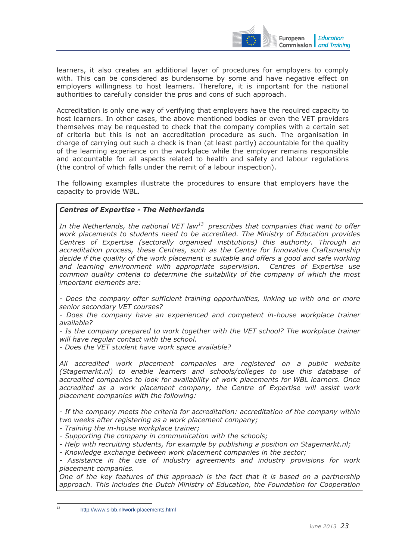

learners, it also creates an additional layer of procedures for employers to comply with. This can be considered as burdensome by some and have negative effect on employers willingness to host learners. Therefore, it is important for the national authorities to carefully consider the pros and cons of such approach.

Accreditation is only one way of verifying that employers have the required capacity to host learners. In other cases, the above mentioned bodies or even the VET providers themselves may be requested to check that the company complies with a certain set of criteria but this is not an accreditation procedure as such. The organisation in charge of carrying out such a check is than (at least partly) accountable for the quality of the learning experience on the workplace while the employer remains responsible and accountable for all aspects related to health and safety and labour regulations (the control of which falls under the remit of a labour inspection).

The following examples illustrate the procedures to ensure that employers have the capacity to provide WBL.

#### *Centres of Expertise - The Netherlands*

In the Netherlands, the national VET law<sup>13</sup> prescribes that companies that want to offer *work placements to students need to be accredited. The Ministry of Education provides Centres of Expertise (sectorally organised institutions) this authority. Through an accreditation process, these Centres, such as the Centre for Innovative Craftsmanship*  decide if the quality of the work placement is suitable and offers a good and safe working and learning environment with appropriate supervision. Centres of Expertise use *common quality criteria to determine the suitability of the company of which the most important elements are:* 

*- Does the company offer sufficient training opportunities, linking up with one or more senior secondary VET courses?* 

*- Does the company have an experienced and competent in-house workplace trainer available?* 

- Is the company prepared to work together with the VET school? The workplace trainer *will have regular contact with the school.* 

*- Does the VET student have work space available?* 

*All accredited work placement companies are registered on a public website (Stagemarkt.nl) to enable learners and schools/colleges to use this database of accredited companies to look for availability of work placements for WBL learners. Once accredited as a work placement company, the Centre of Expertise will assist work placement companies with the following:* 

*- If the company meets the criteria for accreditation: accreditation of the company within two weeks after registering as a work placement company;* 

*- Training the in-house workplace trainer;* 

*- Supporting the company in communication with the schools;* 

*- Help with recruiting students, for example by publishing a position on Stagemarkt.nl;* 

*- Knowledge exchange between work placement companies in the sector;* 

*- Assistance in the use of industry agreements and industry provisions for work placement companies.* 

*One of the key features of this approach is the fact that it is based on a partnership approach. This includes the Dutch Ministry of Education, the Foundation for Cooperation* 

<http://www.s-bb.nl/work-placements.html>

-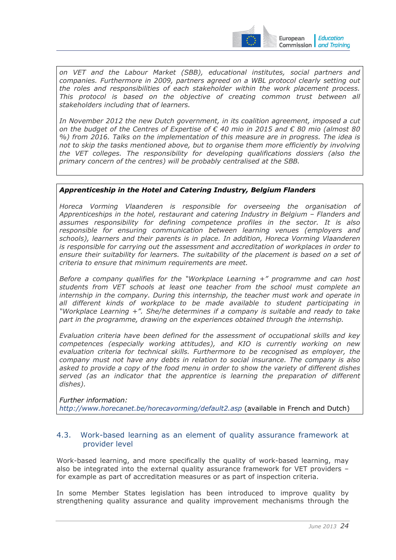

*on VET and the Labour Market (SBB), educational institutes, social partners and companies. Furthermore in 2009, partners agreed on a WBL protocol clearly setting out the roles and responsibilities of each stakeholder within the work placement process.*  This protocol is based on the objective of creating common trust between all *stakeholders including that of learners.* 

*In November 2012 the new Dutch government, in its coalition agreement, imposed a cut on the budget of the Centres of Expertise of € 40 mio in 2015 and € 80 mio (almost 80 %) from 2016. Talks on the implementation of this measure are in progress. The idea is not to skip the tasks mentioned above, but to organise them more efficiently by involving the VET colleges. The responsibility for developing qualifications dossiers (also the primary concern of the centres) will be probably centralised at the SBB.* 

#### *Apprenticeship in the Hotel and Catering Industry, Belgium Flanders*

*Horeca Vorming Vlaanderen is responsible for overseeing the organisation of Apprenticeships in the hotel, restaurant and catering Industry in Belgium – Flanders and assumes responsibility for defining competence profiles in the sector. It is also responsible for ensuring communication between learning venues (employers and schools), learners and their parents is in place. In addition, Horeca Vorming Vlaanderen is responsible for carrying out the assessment and accreditation of workplaces in order to ensure their suitability for learners. The suitability of the placement is based on a set of criteria to ensure that minimum requirements are meet.* 

*Before a company qualifies for the "Workplace Learning +" programme and can host students from VET schools at least one teacher from the school must complete an internship in the company. During this internship, the teacher must work and operate in all different kinds of workplace to be made available to student participating in "Workplace Learning +". She/he determines if a company is suitable and ready to take part in the programme, drawing on the experiences obtained through the internship.* 

*Evaluation criteria have been defined for the assessment of occupational skills and key competences (especially working attitudes), and KIO is currently working on new evaluation criteria for technical skills. Furthermore to be recognised as employer, the company must not have any debts in relation to social insurance. The company is also asked to provide a copy of the food menu in order to show the variety of different dishes served (as an indicator that the apprentice is learning the preparation of different dishes).* 

*Further information: <http://www.horecanet.be/horecavorming/default2.asp>* (available in French and Dutch)

#### <span id="page-23-0"></span>4.3. Work-based learning as an element of quality assurance framework at provider level

Work-based learning, and more specifically the quality of work-based learning, may also be integrated into the external quality assurance framework for VET providers – for example as part of accreditation measures or as part of inspection criteria.

In some Member States legislation has been introduced to improve quality by strengthening quality assurance and quality improvement mechanisms through the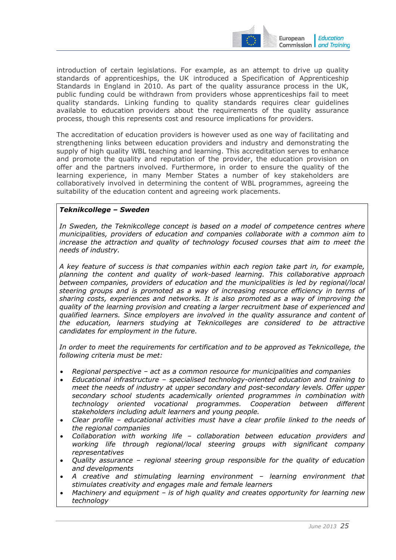

introduction of certain legislations. For example, as an attempt to drive up quality standards of apprenticeships, the UK introduced a Specification of Apprenticeship Standards in England in 2010. As part of the quality assurance process in the UK, public funding could be withdrawn from providers whose apprenticeships fail to meet quality standards. Linking funding to quality standards requires clear guidelines available to education providers about the requirements of the quality assurance process, though this represents cost and resource implications for providers.

The accreditation of education providers is however used as one way of facilitating and strengthening links between education providers and industry and demonstrating the supply of high quality WBL teaching and learning. This accreditation serves to enhance and promote the quality and reputation of the provider, the education provision on offer and the partners involved. Furthermore, in order to ensure the quality of the learning experience, in many Member States a number of key stakeholders are collaboratively involved in determining the content of WBL programmes, agreeing the suitability of the education content and agreeing work placements.

#### *Teknikcollege – Sweden*

In Sweden, the Teknikcollege concept is based on a model of competence centres where *municipalities, providers of education and companies collaborate with a common aim to increase the attraction and quality of technology focused courses that aim to meet the needs of industry.* 

*A key feature of success is that companies within each region take part in, for example, planning the content and quality of work-based learning. This collaborative approach between companies, providers of education and the municipalities is led by regional/local steering groups and is promoted as a way of increasing resource efficiency in terms of sharing costs, experiences and networks. It is also promoted as a way of improving the quality of the learning provision and creating a larger recruitment base of experienced and qualified learners. Since employers are involved in the quality assurance and content of the education, learners studying at Teknicolleges are considered to be attractive candidates for employment in the future.* 

In order to meet the requirements for certification and to be approved as Teknicollege, the *following criteria must be met:* 

- *Regional perspective act as a common resource for municipalities and companies*
- *Educational infrastructure specialised technology-oriented education and training to meet the needs of industry at upper secondary and post-secondary levels. Offer upper secondary school students academically oriented programmes in combination with technology oriented vocational programmes. Cooperation between different stakeholders including adult learners and young people.*
- *Clear profile educational activities must have a clear profile linked to the needs of the regional companies*
- *Collaboration with working life collaboration between education providers and working life through regional/local steering groups with significant company representatives*
- *Quality assurance regional steering group responsible for the quality of education and developments*
- *A creative and stimulating learning environment learning environment that stimulates creativity and engages male and female learners*
- *Machinery and equipment is of high quality and creates opportunity for learning new technology*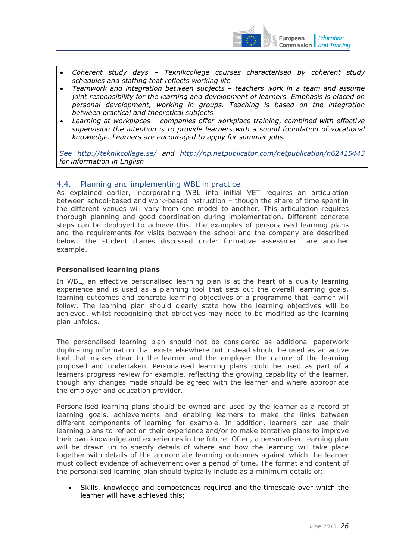

- *Coherent study days Teknikcollege courses characterised by coherent study schedules and staffing that reflects working life*
- *Teamwork and integration between subjects teachers work in a team and assume joint responsibility for the learning and development of learners. Emphasis is placed on personal development, working in groups. Teaching is based on the integration between practical and theoretical subjects*
- *Learning at workplaces companies offer workplace training, combined with effective supervision the intention is to provide learners with a sound foundation of vocational knowledge. Learners are encouraged to apply for summer jobs.*

*See <http://teknikcollege.se/>and <http://np.netpublicator.com/netpublication/n62415443> for information in English* 

# <span id="page-25-0"></span>4.4. Planning and implementing WBL in practice

As explained earlier, incorporating WBL into initial VET requires an articulation between school-based and work-based instruction – though the share of time spent in the different venues will vary from one model to another. This articulation requires thorough planning and good coordination during implementation. Different concrete steps can be deployed to achieve this. The examples of personalised learning plans and the requirements for visits between the school and the company are described below. The student diaries discussed under formative assessment are another example.

# **Personalised learning plans**

In WBL, an effective personalised learning plan is at the heart of a quality learning experience and is used as a planning tool that sets out the overall learning goals, learning outcomes and concrete learning objectives of a programme that learner will follow. The learning plan should clearly state how the learning objectives will be achieved, whilst recognising that objectives may need to be modified as the learning plan unfolds.

The personalised learning plan should not be considered as additional paperwork duplicating information that exists elsewhere but instead should be used as an active tool that makes clear to the learner and the employer the nature of the learning proposed and undertaken. Personalised learning plans could be used as part of a learners progress review for example, reflecting the growing capability of the learner, though any changes made should be agreed with the learner and where appropriate the employer and education provider.

Personalised learning plans should be owned and used by the learner as a record of learning goals, achievements and enabling learners to make the links between different components of learning for example. In addition, learners can use their learning plans to reflect on their experience and/or to make tentative plans to improve their own knowledge and experiences in the future. Often, a personalised learning plan will be drawn up to specify details of where and how the learning will take place together with details of the appropriate learning outcomes against which the learner must collect evidence of achievement over a period of time. The format and content of the personalised learning plan should typically include as a minimum details of:

Skills, knowledge and competences required and the timescale over which the learner will have achieved this;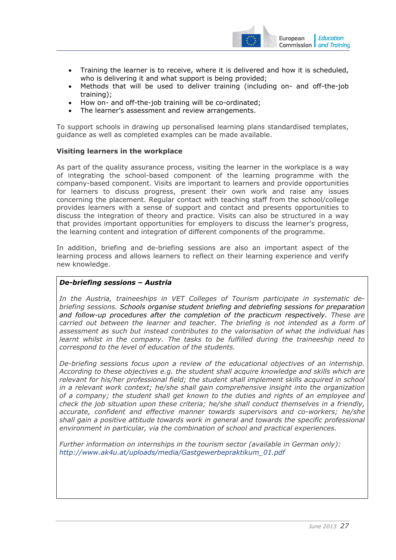

- Training the learner is to receive, where it is delivered and how it is scheduled, who is delivering it and what support is being provided:
- Methods that will be used to deliver training (including on- and off-the-job training);
- How on- and off-the-job training will be co-ordinated;
- The learner's assessment and review arrangements.

To support schools in drawing up personalised learning plans standardised templates, guidance as well as completed examples can be made available.

#### **Visiting learners in the workplace**

As part of the quality assurance process, visiting the learner in the workplace is a way of integrating the school-based component of the learning programme with the company-based component. Visits are important to learners and provide opportunities for learners to discuss progress, present their own work and raise any issues concerning the placement. Regular contact with teaching staff from the school/college provides learners with a sense of support and contact and presents opportunities to discuss the integration of theory and practice. Visits can also be structured in a way that provides important opportunities for employers to discuss the learner's progress, the learning content and integration of different components of the programme.

In addition, briefing and de-briefing sessions are also an important aspect of the learning process and allows learners to reflect on their learning experience and verify new knowledge.

# *De-briefing sessions – Austria*

*In the Austria, traineeships in VET Colleges of Tourism participate in systematic debriefing sessions. Schools organise student briefing and debriefing sessions for preparation and follow-up procedures after the completion of the practicum respectively. These are carried out between the learner and teacher. The briefing is not intended as a form of assessment as such but instead contributes to the valorisation of what the individual has learnt whilst in the company. The tasks to be fulfilled during the traineeship need to correspond to the level of education of the students.* 

*De-briefing sessions focus upon a review of the educational objectives of an internship. According to these objectives e.g. the student shall acquire knowledge and skills which are relevant for his/her professional field; the student shall implement skills acquired in school in a relevant work context; he/she shall gain comprehensive insight into the organization of a company; the student shall get known to the duties and rights of an employee and check the job situation upon these criteria; he/she shall conduct themselves in a friendly, accurate, confident and effective manner towards supervisors and co-workers; he/she shall gain a positive attitude towards work in general and towards the specific professional environment in particular, via the combination of school and practical experiences.* 

*Further information on internships in the tourism sector (available in German only): [http://www.ak4u.at/uploads/media/Gastgewerbepraktikum\\_01.pdf](http://www.ak4u.at/uploads/media/Gastgewerbepraktikum_01.pdf)*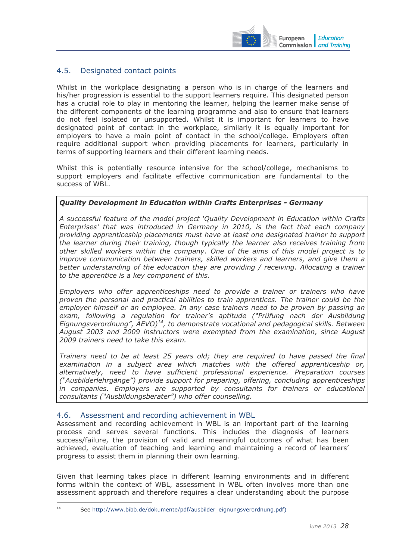

# <span id="page-27-0"></span>4.5. Designated contact points

Whilst in the workplace designating a person who is in charge of the learners and his/her progression is essential to the support learners require. This designated person has a crucial role to play in mentoring the learner, helping the learner make sense of the different components of the learning programme and also to ensure that learners do not feel isolated or unsupported. Whilst it is important for learners to have designated point of contact in the workplace, similarly it is equally important for employers to have a main point of contact in the school/college. Employers often require additional support when providing placements for learners, particularly in terms of supporting learners and their different learning needs.

Whilst this is potentially resource intensive for the school/college, mechanisms to support employers and facilitate effective communication are fundamental to the success of WBL.

# *Quality Development in Education within Crafts Enterprises - Germany*

*A successful feature of the model project 'Quality Development in Education within Crafts Enterprises' that was introduced in Germany in 2010, is the fact that each company providing apprenticeship placements must have at least one designated trainer to support the learner during their training, though typically the learner also receives training from other skilled workers within the company. One of the aims of this model project is to improve communication between trainers, skilled workers and learners, and give them a better understanding of the education they are providing / receiving. Allocating a trainer to the apprentice is a key component of this.* 

*Employers who offer apprenticeships need to provide a trainer or trainers who have proven the personal and practical abilities to train apprentices. The trainer could be the employer himself or an employee. In any case trainers need to be proven by passing an exam, following a regulation for trainer's aptitude ("Prüfung nach der Ausbildung Eignungsverordnung", AEVO)14, to demonstrate vocational and pedagogical skills. Between August 2003 and 2009 instructors were exempted from the examination, since August 2009 trainers need to take this exam.* 

*Trainers need to be at least 25 years old; they are required to have passed the final examination in a subject area which matches with the offered apprenticeship or, alternatively, need to have sufficient professional experience. Preparation courses ("Ausbilderlehrgänge") provide support for preparing, offering, concluding apprenticeships in companies. Employers are supported by consultants for trainers or educational consultants ("Ausbildungsberater") who offer counselling.*

# <span id="page-27-1"></span>4.6. Assessment and recording achievement in WBL

Assessment and recording achievement in WBL is an important part of the learning process and serves several functions. This includes the diagnosis of learners success/failure, the provision of valid and meaningful outcomes of what has been achieved, evaluation of teaching and learning and maintaining a record of learners' progress to assist them in planning their own learning.

Given that learning takes place in different learning environments and in different forms within the context of WBL, assessment in WBL often involves more than one assessment approach and therefore requires a clear understanding about the purpose

 $14$ See http://www.bibb.de/dokumente/pdf/ausbilder\_eignungsverordnung.pdf)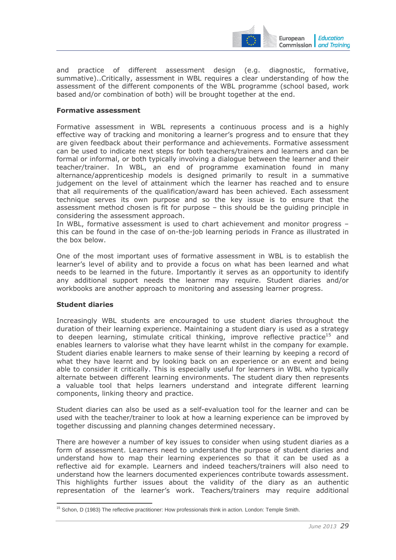

and practice of different assessment design (e.g. diagnostic, formative, summative)..Critically, assessment in WBL requires a clear understanding of how the assessment of the different components of the WBL programme (school based, work based and/or combination of both) will be brought together at the end.

#### **Formative assessment**

Formative assessment in WBL represents a continuous process and is a highly effective way of tracking and monitoring a learner's progress and to ensure that they are given feedback about their performance and achievements. Formative assessment can be used to indicate next steps for both teachers/trainers and learners and can be formal or informal, or both typically involving a dialogue between the learner and their teacher/trainer. In WBL, an end of programme examination found in many alternance/apprenticeship models is designed primarily to result in a summative judgement on the level of attainment which the learner has reached and to ensure that all requirements of the qualification/award has been achieved. Each assessment technique serves its own purpose and so the key issue is to ensure that the assessment method chosen is fit for purpose – this should be the guiding principle in considering the assessment approach.

In WBL, formative assessment is used to chart achievement and monitor progress – this can be found in the case of on-the-job learning periods in France as illustrated in the box below.

One of the most important uses of formative assessment in WBL is to establish the learner's level of ability and to provide a focus on what has been learned and what needs to be learned in the future. Importantly it serves as an opportunity to identify any additional support needs the learner may require. Student diaries and/or workbooks are another approach to monitoring and assessing learner progress.

# **Student diaries**

Increasingly WBL students are encouraged to use student diaries throughout the duration of their learning experience. Maintaining a student diary is used as a strategy to deepen learning, stimulate critical thinking, improve reflective practice<sup>15</sup> and enables learners to valorise what they have learnt whilst in the company for example. Student diaries enable learners to make sense of their learning by keeping a record of what they have learnt and by looking back on an experience or an event and being able to consider it critically. This is especially useful for learners in WBL who typically alternate between different learning environments. The student diary then represents a valuable tool that helps learners understand and integrate different learning components, linking theory and practice.

Student diaries can also be used as a self-evaluation tool for the learner and can be used with the teacher/trainer to look at how a learning experience can be improved by together discussing and planning changes determined necessary.

There are however a number of key issues to consider when using student diaries as a form of assessment. Learners need to understand the purpose of student diaries and understand how to map their learning experiences so that it can be used as a reflective aid for example. Learners and indeed teachers/trainers will also need to understand how the learners documented experiences contribute towards assessment. This highlights further issues about the validity of the diary as an authentic representation of the learner's work. Teachers/trainers may require additional

<sup>-</sup><sup>15</sup> Schon, D (1983) The reflective practitioner: How professionals think in action. London: Temple Smith.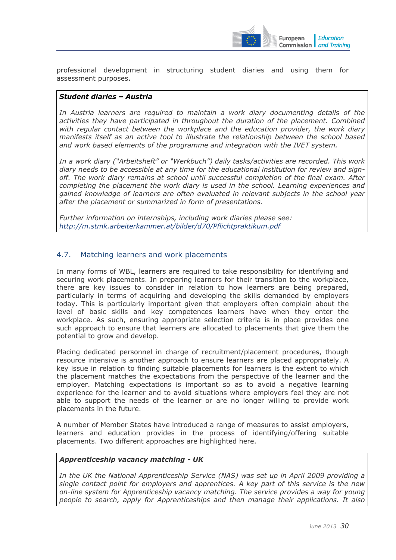

professional development in structuring student diaries and using them for assessment purposes.

#### *Student diaries – Austria*

*In Austria learners are required to maintain a work diary documenting details of the activities they have participated in throughout the duration of the placement. Combined with regular contact between the workplace and the education provider, the work diary manifests itself as an active tool to illustrate the relationship between the school based and work based elements of the programme and integration with the IVET system.* 

*In a work diary ("Arbeitsheft" or "Werkbuch") daily tasks/activities are recorded. This work diary needs to be accessible at any time for the educational institution for review and signoff. The work diary remains at school until successful completion of the final exam. After completing the placement the work diary is used in the school. Learning experiences and gained knowledge of learners are often evaluated in relevant subjects in the school year after the placement or summarized in form of presentations.* 

*Further information on internships, including work diaries please see: <http://m.stmk.arbeiterkammer.at/bilder/d70/Pflichtpraktikum.pdf>*

# <span id="page-29-0"></span>4.7. Matching learners and work placements

In many forms of WBL, learners are required to take responsibility for identifying and securing work placements. In preparing learners for their transition to the workplace, there are key issues to consider in relation to how learners are being prepared, particularly in terms of acquiring and developing the skills demanded by employers today. This is particularly important given that employers often complain about the level of basic skills and key competences learners have when they enter the workplace. As such, ensuring appropriate selection criteria is in place provides one such approach to ensure that learners are allocated to placements that give them the potential to grow and develop.

Placing dedicated personnel in charge of recruitment/placement procedures, though resource intensive is another approach to ensure learners are placed appropriately. A key issue in relation to finding suitable placements for learners is the extent to which the placement matches the expectations from the perspective of the learner and the employer. Matching expectations is important so as to avoid a negative learning experience for the learner and to avoid situations where employers feel they are not able to support the needs of the learner or are no longer willing to provide work placements in the future.

A number of Member States have introduced a range of measures to assist employers, learners and education provides in the process of identifying/offering suitable placements. Two different approaches are highlighted here.

#### *Apprenticeship vacancy matching - UK*

*In the UK the National Apprenticeship Service (NAS) was set up in April 2009 providing a single contact point for employers and apprentices. A key part of this service is the new on-line system for Apprenticeship vacancy matching. The service provides a way for young people to search, apply for Apprenticeships and then manage their applications. It also*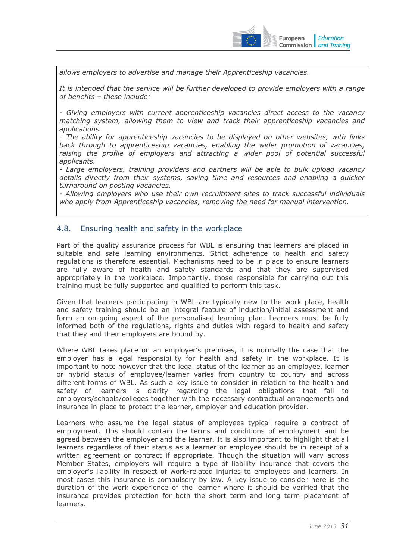

*allows employers to advertise and manage their Apprenticeship vacancies.* 

*It is intended that the service will be further developed to provide employers with a range of benefits – these include:* 

*- Giving employers with current apprenticeship vacancies direct access to the vacancy matching system, allowing them to view and track their apprenticeship vacancies and applications.* 

*- The ability for apprenticeship vacancies to be displayed on other websites, with links back through to apprenticeship vacancies, enabling the wider promotion of vacancies,*  raising the profile of employers and attracting a wider pool of potential successful *applicants.* 

*- Large employers, training providers and partners will be able to bulk upload vacancy details directly from their systems, saving time and resources and enabling a quicker turnaround on posting vacancies.* 

*- Allowing employers who use their own recruitment sites to track successful individuals who apply from Apprenticeship vacancies, removing the need for manual intervention.* 

# <span id="page-30-0"></span>4.8. Ensuring health and safety in the workplace

Part of the quality assurance process for WBL is ensuring that learners are placed in suitable and safe learning environments. Strict adherence to health and safety regulations is therefore essential. Mechanisms need to be in place to ensure learners are fully aware of health and safety standards and that they are supervised appropriately in the workplace. Importantly, those responsible for carrying out this training must be fully supported and qualified to perform this task.

Given that learners participating in WBL are typically new to the work place, health and safety training should be an integral feature of induction/initial assessment and form an on-going aspect of the personalised learning plan. Learners must be fully informed both of the regulations, rights and duties with regard to health and safety that they and their employers are bound by.

Where WBL takes place on an employer's premises, it is normally the case that the employer has a legal responsibility for health and safety in the workplace. It is important to note however that the legal status of the learner as an employee, learner or hybrid status of employee/learner varies from country to country and across different forms of WBL. As such a key issue to consider in relation to the health and safety of learners is clarity regarding the legal obligations that fall to employers/schools/colleges together with the necessary contractual arrangements and insurance in place to protect the learner, employer and education provider.

Learners who assume the legal status of employees typical require a contract of employment. This should contain the terms and conditions of employment and be agreed between the employer and the learner. It is also important to highlight that all learners regardless of their status as a learner or employee should be in receipt of a written agreement or contract if appropriate. Though the situation will vary across Member States, employers will require a type of liability insurance that covers the employer's liability in respect of work-related injuries to employees and learners. In most cases this insurance is compulsory by law. A key issue to consider here is the duration of the work experience of the learner where it should be verified that the insurance provides protection for both the short term and long term placement of learners.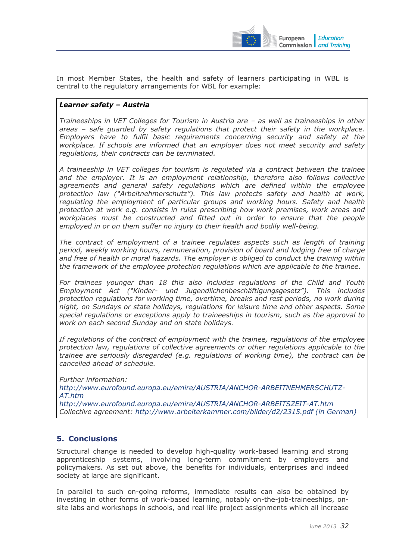

In most Member States, the health and safety of learners participating in WBL is central to the regulatory arrangements for WBL for example:

# *Learner safety – Austria*

*Traineeships in VET Colleges for Tourism in Austria are – as well as traineeships in other areas – safe guarded by safety regulations that protect their safety in the workplace. Employers have to fulfil basic requirements concerning security and safety at the workplace. If schools are informed that an employer does not meet security and safety regulations, their contracts can be terminated.* 

*A traineeship in VET colleges for tourism is regulated via a contract between the trainee and the employer. It is an employment relationship, therefore also follows collective agreements and general safety regulations which are defined within the employee protection law ("Arbeitnehmerschutz"). This law protects safety and health at work, regulating the employment of particular groups and working hours. Safety and health protection at work e.g. consists in rules prescribing how work premises, work areas and workplaces must be constructed and fitted out in order to ensure that the people*  employed in or on them suffer no injury to their health and bodily well-being.

*The contract of employment of a trainee regulates aspects such as length of training period, weekly working hours, remuneration, provision of board and lodging free of charge and free of health or moral hazards. The employer is obliged to conduct the training within the framework of the employee protection regulations which are applicable to the trainee.* 

*For trainees younger than 18 this also includes regulations of the Child and Youth Employment Act ("Kinder- und Jugendlichenbeschäftigungsgesetz"). This includes protection regulations for working time, overtime, breaks and rest periods, no work during night, on Sundays or state holidays, regulations for leisure time and other aspects. Some special regulations or exceptions apply to traineeships in tourism, such as the approval to work on each second Sunday and on state holidays.* 

*If regulations of the contract of employment with the trainee, regulations of the employee protection law, regulations of collective agreements or other regulations applicable to the trainee are seriously disregarded (e.g. regulations of working time), the contract can be cancelled ahead of schedule.* 

*Further information: [http://www.eurofound.europa.eu/emire/AUSTRIA/ANCHOR-ARBEITNEHMERSCHUTZ-](http://www.eurofound.europa.eu/emire/AUSTRIA/ANCHOR-ARBEITNEHMERSCHUTZ-AT.htm)[AT.htm](http://www.eurofound.europa.eu/emire/AUSTRIA/ANCHOR-ARBEITNEHMERSCHUTZ-AT.htm) <http://www.eurofound.europa.eu/emire/AUSTRIA/ANCHOR-ARBEITSZEIT-AT.htm> Collective agreement: [http://www.arbeiterkammer.com/bilder/d2/2315.pdf \(](http://www.arbeiterkammer.com/bilder/d2/2315.pdf)in German)*

# <span id="page-31-0"></span>**5. Conclusions**

Structural change is needed to develop high-quality work-based learning and strong apprenticeship systems, involving long-term commitment by employers and policymakers. As set out above, the benefits for individuals, enterprises and indeed society at large are significant.

In parallel to such on-going reforms, immediate results can also be obtained by investing in other forms of work-based learning, notably on-the-job-traineeships, onsite labs and workshops in schools, and real life project assignments which all increase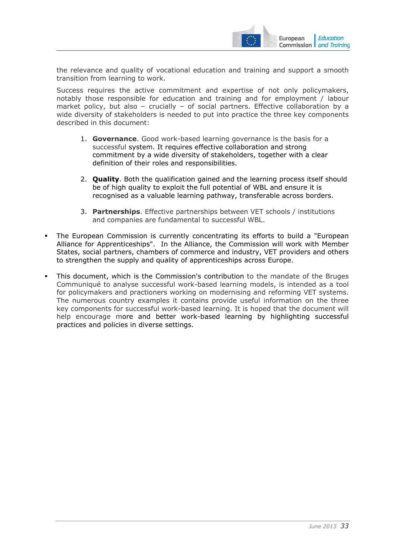

the relevance and quality of vocational education and training and support a smooth transition from learning to work.

Success requires the active commitment and expertise of not only policymakers, notably those responsible for education and training and for employment / labour market policy, but also – crucially – of social partners. Effective collaboration by a wide diversity of stakeholders is needed to put into practice the three key components described in this document:

- 1. **Governance**. Good work-based learning governance is the basis for a successful system. It requires effective collaboration and strong commitment by a wide diversity of stakeholders, together with a clear definition of their roles and responsibilities.
- 2. **Quality**. Both the qualification gained and the learning process itself should be of high quality to exploit the full potential of WBL and ensure it is recognised as a valuable learning pathway, transferable across borders.
- 3. **Partnerships**. Effective partnerships between VET schools / institutions and companies are fundamental to successful WBL.
- The European Commission is currently concentrating its efforts to build a "European Alliance for Apprenticeships". In the Alliance, the Commission will work with Member States, social partners, chambers of commerce and industry, VET providers and others to strengthen the supply and quality of apprenticeships across Europe.
- This document, which is the Commission's contribution to the mandate of the Bruges Communiqué to analyse successful work-based learning models, is intended as a tool for policymakers and practioners working on modernising and reforming VET systems. The numerous country examples it contains provide useful information on the three key components for successful work-based learning. It is hoped that the document will help encourage more and better work-based learning by highlighting successful practices and policies in diverse settings.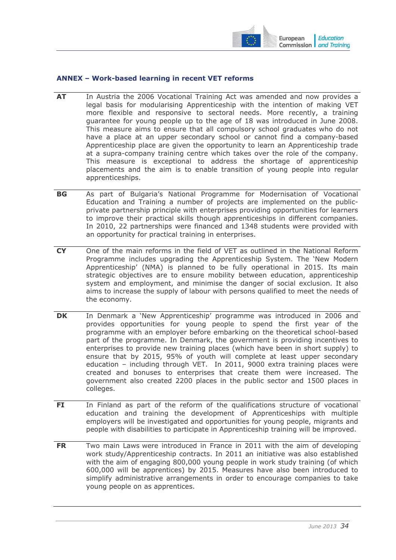

#### <span id="page-33-0"></span>**ANNEX – Work-based learning in recent VET reforms**

- **AT** In Austria the 2006 Vocational Training Act was amended and now provides a legal basis for modularising Apprenticeship with the intention of making VET more flexible and responsive to sectoral needs. More recently, a training guarantee for young people up to the age of 18 was introduced in June 2008. This measure aims to ensure that all compulsory school graduates who do not have a place at an upper secondary school or cannot find a company-based Apprenticeship place are given the opportunity to learn an Apprenticeship trade at a supra-company training centre which takes over the role of the company. This measure is exceptional to address the shortage of apprenticeship placements and the aim is to enable transition of young people into regular apprenticeships.
- **BG** As part of Bulgaria's National Programme for Modernisation of Vocational Education and Training a number of projects are implemented on the publicprivate partnership principle with enterprises providing opportunities for learners to improve their practical skills though apprenticeships in different companies. In 2010, 22 partnerships were financed and 1348 students were provided with an opportunity for practical training in enterprises.
- **CY** One of the main reforms in the field of VET as outlined in the National Reform Programme includes upgrading the Apprenticeship System. The 'New Modern Apprenticeship' (NMA) is planned to be fully operational in 2015. Its main strategic objectives are to ensure mobility between education, apprenticeship system and employment, and minimise the danger of social exclusion. It also aims to increase the supply of labour with persons qualified to meet the needs of the economy.
- **DK** In Denmark a 'New Apprenticeship' programme was introduced in 2006 and provides opportunities for young people to spend the first year of the programme with an employer before embarking on the theoretical school-based part of the programme. In Denmark, the government is providing incentives to enterprises to provide new training places (which have been in short supply) to ensure that by 2015, 95% of youth will complete at least upper secondary education – including through VET. In 2011, 9000 extra training places were created and bonuses to enterprises that create them were increased. The government also created 2200 places in the public sector and 1500 places in colleges.
- **FI** In Finland as part of the reform of the qualifications structure of vocational education and training the development of Apprenticeships with multiple employers will be investigated and opportunities for young people, migrants and people with disabilities to participate in Apprenticeship training will be improved.
- **FR** Two main Laws were introduced in France in 2011 with the aim of developing work study/Apprenticeship contracts. In 2011 an initiative was also established with the aim of engaging 800,000 young people in work study training (of which 600,000 will be apprentices) by 2015. Measures have also been introduced to simplify administrative arrangements in order to encourage companies to take young people on as apprentices.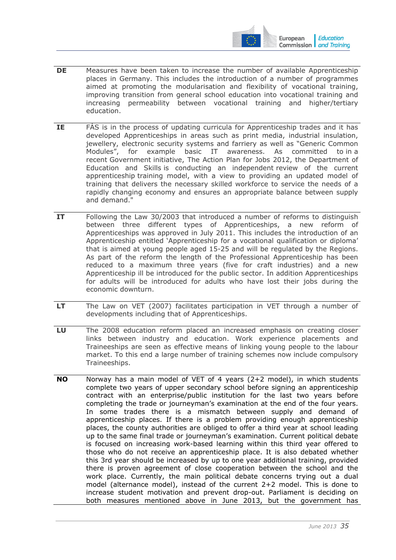

- **DE** Measures have been taken to increase the number of available Apprenticeship places in Germany. This includes the introduction of a number of programmes aimed at promoting the modularisation and flexibility of vocational training, improving transition from general school education into vocational training and increasing permeability between vocational training and higher/tertiary education.
- **IE** FÁS is in the process of updating curricula for Apprenticeship trades and it has developed Apprenticeships in areas such as print media, industrial insulation, jewellery, electronic security systems and farriery as well as "Generic Common Modules", for example basic IT awareness. As committed to in a recent Government initiative, The Action Plan for Jobs 2012, the Department of Education and Skills is conducting an independent review of the current apprenticeship training model, with a view to providing an updated model of training that delivers the necessary skilled workforce to service the needs of a rapidly changing economy and ensures an appropriate balance between supply and demand."
- **IT** Following the Law 30/2003 that introduced a number of reforms to distinguish between three different types of Apprenticeships, a new reform of Apprenticeships was approved in July 2011. This includes the introduction of an Apprenticeship entitled 'Apprenticeship for a vocational qualification or diploma' that is aimed at young people aged 15-25 and will be regulated by the Regions. As part of the reform the length of the Professional Apprenticeship has been reduced to a maximum three years (five for craft industries) and a new Apprenticeship ill be introduced for the public sector. In addition Apprenticeships for adults will be introduced for adults who have lost their jobs during the economic downturn.
- **LT** The Law on VET (2007) facilitates participation in VET through a number of developments including that of Apprenticeships.
- LU The 2008 education reform placed an increased emphasis on creating closer links between industry and education. Work experience placements and Traineeships are seen as effective means of linking young people to the labour market. To this end a large number of training schemes now include compulsory Traineeships.
- **NO** Norway has a main model of VET of 4 years (2+2 model), in which students complete two years of upper secondary school before signing an apprenticeship contract with an enterprise/public institution for the last two years before completing the trade or journeyman's examination at the end of the four years. In some trades there is a mismatch between supply and demand of apprenticeship places. If there is a problem providing enough apprenticeship places, the county authorities are obliged to offer a third year at school leading up to the same final trade or journeyman's examination. Current political debate is focused on increasing work-based learning within this third year offered to those who do not receive an apprenticeship place. It is also debated whether this 3rd year should be increased by up to one year additional training, provided there is proven agreement of close cooperation between the school and the work place. Currently, the main political debate concerns trying out a dual model (alternance model), instead of the current 2+2 model. This is done to increase student motivation and prevent drop-out. Parliament is deciding on both measures mentioned above in June 2013, but the government has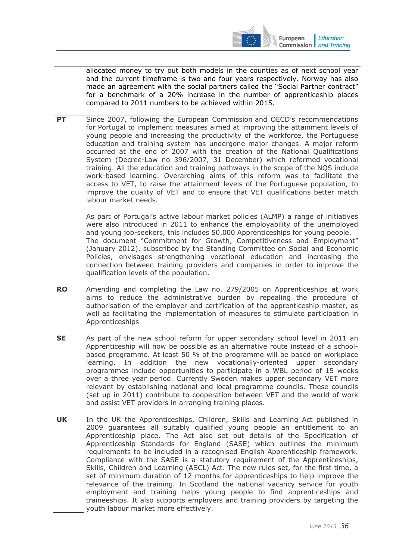

allocated money to try out both models in the counties as of next school year and the current timeframe is two and four years respectively. Norway has also made an agreement with the social partners called the "Social Partner contract" for a benchmark of a 20% increase in the number of apprenticeship places compared to 2011 numbers to be achieved within 2015.

**PT** Since 2007, following the European Commission and OECD's recommendations for Portugal to implement measures aimed at improving the attainment levels of young people and increasing the productivity of the workforce, the Portuguese education and training system has undergone major changes. A major reform occurred at the end of 2007 with the creation of the National Qualifications System (Decree-Law no 396/2007, 31 December) which reformed vocational training. All the education and training pathways in the scope of the NQS include work-based learning. Overarching aims of this reform was to facilitate the access to VET, to raise the attainment levels of the Portuguese population, to improve the quality of VET and to ensure that VET qualifications better match labour market needs.

As part of Portugal's active labour market policies (ALMP) a range of initiatives were also introduced in 2011 to enhance the employability of the unemployed and young job-seekers, this includes 50,000 Apprenticeships for young people. The document "Commitment for Growth, Competitiveness and Employment" (January 2012), subscribed by the Standing Committee on Social and Economic Policies, envisages strengthening vocational education and increasing the connection between training providers and companies in order to improve the qualification levels of the population.

- **RO** Amending and completing the Law no. 279/2005 on Apprenticeships at work aims to reduce the administrative burden by repealing the procedure of authorisation of the employer and certification of the apprenticeship master, as well as facilitating the implementation of measures to stimulate participation in Apprenticeships
- **SE** As part of the new school reform for upper secondary school level in 2011 an Apprenticeship will now be possible as an alternative route instead of a schoolbased programme. At least 50 % of the programme will be based on workplace learning. In addition the new vocationally-oriented upper secondary programmes include opportunities to participate in a WBL period of 15 weeks over a three year period. Currently Sweden makes upper secondary VET more relevant by establishing national and local programme councils. These councils (set up in 2011) contribute to cooperation between VET and the world of work and assist VET providers in arranging training places.
- **UK** In the UK the Apprenticeships, Children, Skills and Learning Act published in 2009 guarantees all suitably qualified young people an entitlement to an Apprenticeship place. The Act also set out details of the Specification of Apprenticeship Standards for England (SASE) which outlines the minimum requirements to be included in a recognised English Apprenticeship framework. Compliance with the SASE is a statutory requirement of the Apprenticeships, Skills, Children and Learning (ASCL) Act. The new rules set, for the first time, a set of minimum duration of 12 months for apprenticeships to help improve the relevance of the training. In Scotland the national vacancy service for youth employment and training helps young people to find apprenticeships and traineeships. It also supports employers and training providers by targeting the youth labour market more effectively.